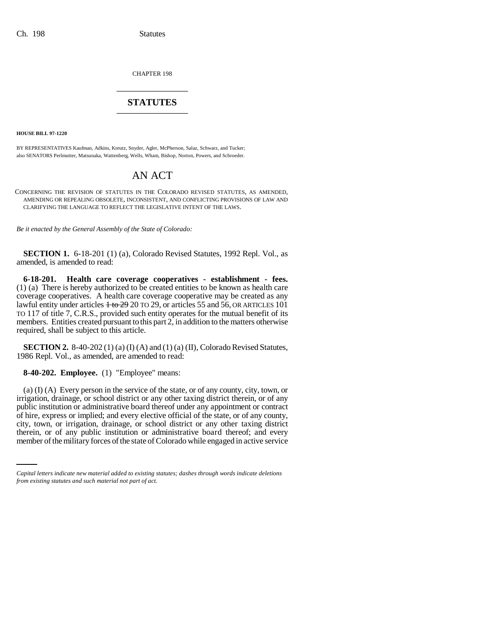CHAPTER 198 \_\_\_\_\_\_\_\_\_\_\_\_\_\_\_

# **STATUTES** \_\_\_\_\_\_\_\_\_\_\_\_\_\_\_

**HOUSE BILL 97-1220**

BY REPRESENTATIVES Kaufman, Adkins, Kreutz, Snyder, Agler, McPherson, Salaz, Schwarz, and Tucker; also SENATORS Perlmutter, Matsunaka, Wattenberg, Wells, Wham, Bishop, Norton, Powers, and Schroeder.

# AN ACT

CONCERNING THE REVISION OF STATUTES IN THE COLORADO REVISED STATUTES, AS AMENDED, AMENDING OR REPEALING OBSOLETE, INCONSISTENT, AND CONFLICTING PROVISIONS OF LAW AND CLARIFYING THE LANGUAGE TO REFLECT THE LEGISLATIVE INTENT OF THE LAWS.

*Be it enacted by the General Assembly of the State of Colorado:*

**SECTION 1.** 6-18-201 (1) (a), Colorado Revised Statutes, 1992 Repl. Vol., as amended, is amended to read:

**6-18-201. Health care coverage cooperatives - establishment - fees.** (1) (a) There is hereby authorized to be created entities to be known as health care coverage cooperatives. A health care coverage cooperative may be created as any lawful entity under articles  $1 + 62920$  TO 29, or articles 55 and 56, OR ARTICLES 101 TO 117 of title 7, C.R.S., provided such entity operates for the mutual benefit of its members. Entities created pursuant to this part 2, in addition to the matters otherwise required, shall be subject to this article.

**SECTION 2.** 8-40-202 (1) (a) (I) (A) and (1) (a) (II), Colorado Revised Statutes, 1986 Repl. Vol., as amended, are amended to read:

**8-40-202. Employee.** (1) "Employee" means:

city, town, or irrigation, drainage, or school district or any other taxing district (a) (I) (A) Every person in the service of the state, or of any county, city, town, or irrigation, drainage, or school district or any other taxing district therein, or of any public institution or administrative board thereof under any appointment or contract of hire, express or implied; and every elective official of the state, or of any county, therein, or of any public institution or administrative board thereof; and every member of the military forces of the state of Colorado while engaged in active service

*Capital letters indicate new material added to existing statutes; dashes through words indicate deletions from existing statutes and such material not part of act.*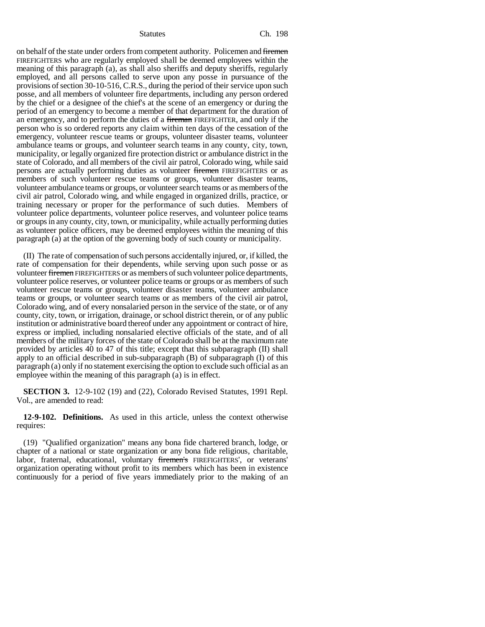on behalf of the state under orders from competent authority. Policemen and firemen FIREFIGHTERS who are regularly employed shall be deemed employees within the meaning of this paragraph (a), as shall also sheriffs and deputy sheriffs, regularly employed, and all persons called to serve upon any posse in pursuance of the provisions of section 30-10-516, C.R.S., during the period of their service upon such posse, and all members of volunteer fire departments, including any person ordered by the chief or a designee of the chief's at the scene of an emergency or during the period of an emergency to become a member of that department for the duration of an emergency, and to perform the duties of a fireman FIREFIGHTER, and only if the person who is so ordered reports any claim within ten days of the cessation of the emergency, volunteer rescue teams or groups, volunteer disaster teams, volunteer ambulance teams or groups, and volunteer search teams in any county, city, town, municipality, or legally organized fire protection district or ambulance district in the state of Colorado, and all members of the civil air patrol, Colorado wing, while said persons are actually performing duties as volunteer firemen FIREFIGHTERS or as members of such volunteer rescue teams or groups, volunteer disaster teams, volunteer ambulance teams or groups, or volunteer search teams or as members of the civil air patrol, Colorado wing, and while engaged in organized drills, practice, or training necessary or proper for the performance of such duties. Members of volunteer police departments, volunteer police reserves, and volunteer police teams or groups in any county, city, town, or municipality, while actually performing duties as volunteer police officers, may be deemed employees within the meaning of this paragraph (a) at the option of the governing body of such county or municipality.

(II) The rate of compensation of such persons accidentally injured, or, if killed, the rate of compensation for their dependents, while serving upon such posse or as volunteer firemen FIREFIGHTERS or as members of such volunteer police departments, volunteer police reserves, or volunteer police teams or groups or as members of such volunteer rescue teams or groups, volunteer disaster teams, volunteer ambulance teams or groups, or volunteer search teams or as members of the civil air patrol, Colorado wing, and of every nonsalaried person in the service of the state, or of any county, city, town, or irrigation, drainage, or school district therein, or of any public institution or administrative board thereof under any appointment or contract of hire, express or implied, including nonsalaried elective officials of the state, and of all members of the military forces of the state of Colorado shall be at the maximum rate provided by articles 40 to 47 of this title; except that this subparagraph (II) shall apply to an official described in sub-subparagraph (B) of subparagraph (I) of this paragraph (a) only if no statement exercising the option to exclude such official as an employee within the meaning of this paragraph (a) is in effect.

**SECTION 3.** 12-9-102 (19) and (22), Colorado Revised Statutes, 1991 Repl. Vol., are amended to read:

**12-9-102. Definitions.** As used in this article, unless the context otherwise requires:

(19) "Qualified organization" means any bona fide chartered branch, lodge, or chapter of a national or state organization or any bona fide religious, charitable, labor, fraternal, educational, voluntary firemen's FIREFIGHTERS', or veterans' organization operating without profit to its members which has been in existence continuously for a period of five years immediately prior to the making of an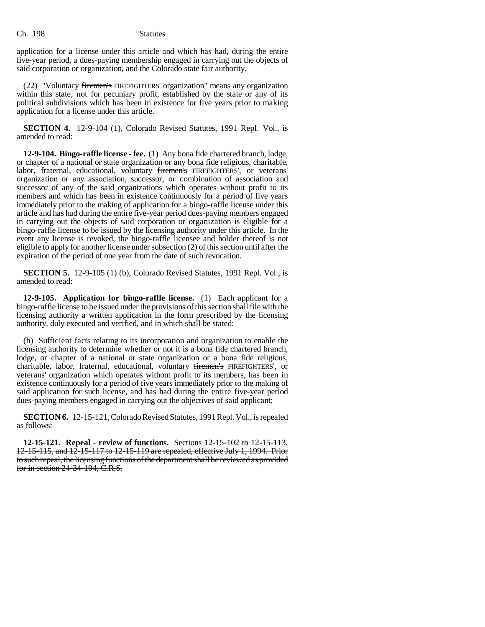application for a license under this article and which has had, during the entire five-year period, a dues-paying membership engaged in carrying out the objects of said corporation or organization, and the Colorado state fair authority.

(22) "Voluntary firemen's FIREFIGHTERS' organization" means any organization within this state, not for pecuniary profit, established by the state or any of its political subdivisions which has been in existence for five years prior to making application for a license under this article.

**SECTION 4.** 12-9-104 (1), Colorado Revised Statutes, 1991 Repl. Vol., is amended to read:

**12-9-104. Bingo-raffle license - fee.** (1) Any bona fide chartered branch, lodge, or chapter of a national or state organization or any bona fide religious, charitable, labor, fraternal, educational, voluntary firemen's FIREFIGHTERS', or veterans' organization or any association, successor, or combination of association and successor of any of the said organizations which operates without profit to its members and which has been in existence continuously for a period of five years immediately prior to the making of application for a bingo-raffle license under this article and has had during the entire five-year period dues-paying members engaged in carrying out the objects of said corporation or organization is eligible for a bingo-raffle license to be issued by the licensing authority under this article. In the event any license is revoked, the bingo-raffle licensee and holder thereof is not eligible to apply for another license under subsection (2) of this section until after the expiration of the period of one year from the date of such revocation.

**SECTION 5.** 12-9-105 (1) (b), Colorado Revised Statutes, 1991 Repl. Vol., is amended to read:

**12-9-105. Application for bingo-raffle license.** (1) Each applicant for a bingo-raffle license to be issued under the provisions of this section shall file with the licensing authority a written application in the form prescribed by the licensing authority, duly executed and verified, and in which shall be stated:

(b) Sufficient facts relating to its incorporation and organization to enable the licensing authority to determine whether or not it is a bona fide chartered branch, lodge, or chapter of a national or state organization or a bona fide religious, charitable, labor, fraternal, educational, voluntary firemen's FIREFIGHTERS', or veterans' organization which operates without profit to its members, has been in existence continuously for a period of five years immediately prior to the making of said application for such license, and has had during the entire five-year period dues-paying members engaged in carrying out the objectives of said applicant;

**SECTION 6.** 12-15-121, Colorado Revised Statutes, 1991 Repl. Vol., is repealed as follows:

**12-15-121. Repeal - review of functions.** Sections 12-15-102 to 12-15-113, 12-15-115, and 12-15-117 to 12-15-119 are repealed, effective July 1, 1994. Prior to such repeal, the licensing functions of the department shall be reviewed as provided for in section 24-34-104, C.R.S.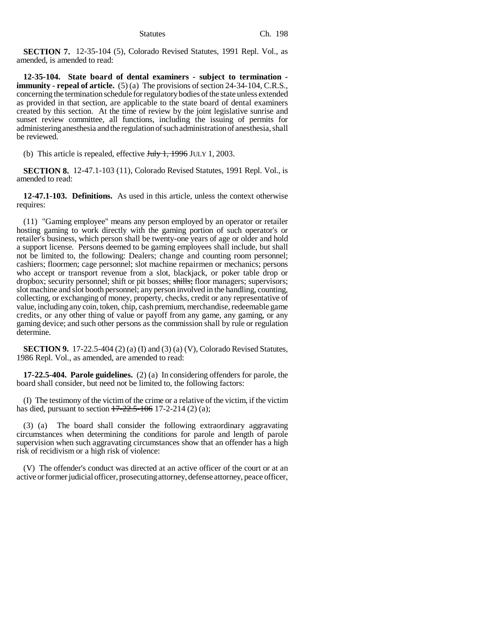**SECTION 7.** 12-35-104 (5), Colorado Revised Statutes, 1991 Repl. Vol., as amended, is amended to read:

**12-35-104. State board of dental examiners - subject to termination immunity - repeal of article.** (5) (a) The provisions of section 24-34-104, C.R.S., concerning the termination schedule for regulatory bodies of the state unless extended as provided in that section, are applicable to the state board of dental examiners created by this section. At the time of review by the joint legislative sunrise and sunset review committee, all functions, including the issuing of permits for administering anesthesia and the regulation of such administration of anesthesia, shall be reviewed.

(b) This article is repealed, effective  $\frac{\text{H}_v}{\text{H}_v}$  +  $\frac{1996}{\text{J}_v}$  JULY 1, 2003.

**SECTION 8.** 12-47.1-103 (11), Colorado Revised Statutes, 1991 Repl. Vol., is amended to read:

**12-47.1-103. Definitions.** As used in this article, unless the context otherwise requires:

(11) "Gaming employee" means any person employed by an operator or retailer hosting gaming to work directly with the gaming portion of such operator's or retailer's business, which person shall be twenty-one years of age or older and hold a support license. Persons deemed to be gaming employees shall include, but shall not be limited to, the following: Dealers; change and counting room personnel; cashiers; floormen; cage personnel; slot machine repairmen or mechanics; persons who accept or transport revenue from a slot, blackjack, or poker table drop or dropbox; security personnel; shift or pit bosses; shills; floor managers; supervisors; slot machine and slot booth personnel; any person involved in the handling, counting, collecting, or exchanging of money, property, checks, credit or any representative of value, including any coin, token, chip, cash premium, merchandise, redeemable game credits, or any other thing of value or payoff from any game, any gaming, or any gaming device; and such other persons as the commission shall by rule or regulation determine.

**SECTION 9.** 17-22.5-404 (2) (a) (I) and (3) (a) (V), Colorado Revised Statutes, 1986 Repl. Vol., as amended, are amended to read:

**17-22.5-404. Parole guidelines.** (2) (a) In considering offenders for parole, the board shall consider, but need not be limited to, the following factors:

(I) The testimony of the victim of the crime or a relative of the victim, if the victim has died, pursuant to section 17-22.5-106 17-2-214 (2) (a);

(3) (a) The board shall consider the following extraordinary aggravating circumstances when determining the conditions for parole and length of parole supervision when such aggravating circumstances show that an offender has a high risk of recidivism or a high risk of violence:

(V) The offender's conduct was directed at an active officer of the court or at an active or former judicial officer, prosecuting attorney, defense attorney, peace officer,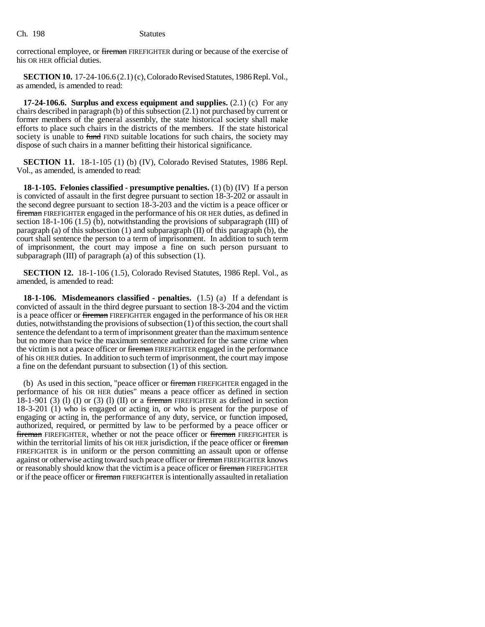correctional employee, or fireman FIREFIGHTER during or because of the exercise of his OR HER official duties.

**SECTION 10.** 17-24-106.6 (2.1) (c), Colorado Revised Statutes, 1986 Repl. Vol., as amended, is amended to read:

**17-24-106.6. Surplus and excess equipment and supplies.** (2.1) (c) For any chairs described in paragraph (b) of this subsection (2.1) not purchased by current or former members of the general assembly, the state historical society shall make efforts to place such chairs in the districts of the members. If the state historical society is unable to fund FIND suitable locations for such chairs, the society may dispose of such chairs in a manner befitting their historical significance.

**SECTION 11.** 18-1-105 (1) (b) (IV), Colorado Revised Statutes, 1986 Repl. Vol., as amended, is amended to read:

**18-1-105. Felonies classified - presumptive penalties.** (1) (b) (IV) If a person is convicted of assault in the first degree pursuant to section 18-3-202 or assault in the second degree pursuant to section 18-3-203 and the victim is a peace officer or fireman FIREFIGHTER engaged in the performance of his OR HER duties, as defined in section 18-1-106 (1.5) (b), notwithstanding the provisions of subparagraph (III) of paragraph (a) of this subsection  $(1)$  and subparagraph  $(II)$  of this paragraph  $(b)$ , the court shall sentence the person to a term of imprisonment. In addition to such term of imprisonment, the court may impose a fine on such person pursuant to subparagraph (III) of paragraph (a) of this subsection (1).

**SECTION 12.** 18-1-106 (1.5), Colorado Revised Statutes, 1986 Repl. Vol., as amended, is amended to read:

**18-1-106. Misdemeanors classified - penalties.** (1.5) (a) If a defendant is convicted of assault in the third degree pursuant to section 18-3-204 and the victim is a peace officer or fireman FIREFIGHTER engaged in the performance of his OR HER duties, notwithstanding the provisions of subsection (1) of this section, the court shall sentence the defendant to a term of imprisonment greater than the maximum sentence but no more than twice the maximum sentence authorized for the same crime when the victim is not a peace officer or fireman FIREFIGHTER engaged in the performance of his OR HER duties. In addition to such term of imprisonment, the court may impose a fine on the defendant pursuant to subsection (1) of this section.

(b) As used in this section, "peace officer or fireman FIREFIGHTER engaged in the performance of his OR HER duties" means a peace officer as defined in section 18-1-901 (3) (1) (I) or (3) (1) (II) or a fireman FIREFIGHTER as defined in section 18-3-201 (1) who is engaged or acting in, or who is present for the purpose of engaging or acting in, the performance of any duty, service, or function imposed, authorized, required, or permitted by law to be performed by a peace officer or **fireman** FIREFIGHTER, whether or not the peace officer or fireman FIREFIGHTER is within the territorial limits of his OR HER jurisdiction, if the peace officer or fireman FIREFIGHTER is in uniform or the person committing an assault upon or offense against or otherwise acting toward such peace officer or fireman FIREFIGHTER knows or reasonably should know that the victim is a peace officer or fireman FIREFIGHTER or if the peace officer or fireman FIREFIGHTER is intentionally assaulted in retaliation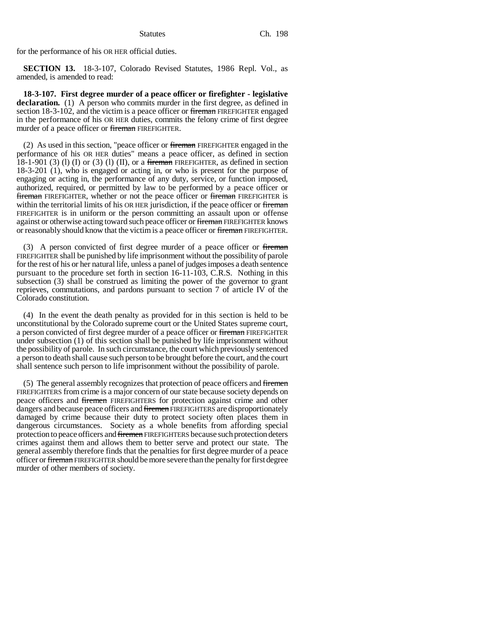for the performance of his OR HER official duties.

**SECTION 13.** 18-3-107, Colorado Revised Statutes, 1986 Repl. Vol., as amended, is amended to read:

**18-3-107. First degree murder of a peace officer or firefighter - legislative** declaration. (1) A person who commits murder in the first degree, as defined in section 18-3-102, and the victim is a peace officer or fireman FIREFIGHTER engaged in the performance of his OR HER duties, commits the felony crime of first degree murder of a peace officer or fireman FIREFIGHTER.

(2) As used in this section, "peace officer or fireman FIREFIGHTER engaged in the performance of his OR HER duties" means a peace officer, as defined in section 18-1-901 (3) (1) (I) or (3) (1) (II), or a fireman FIREFIGHTER, as defined in section 18-3-201 (1), who is engaged or acting in, or who is present for the purpose of engaging or acting in, the performance of any duty, service, or function imposed, authorized, required, or permitted by law to be performed by a peace officer or **fireman** FIREFIGHTER, whether or not the peace officer or **fireman** FIREFIGHTER is within the territorial limits of his OR HER jurisdiction, if the peace officer or fireman FIREFIGHTER is in uniform or the person committing an assault upon or offense against or otherwise acting toward such peace officer or fireman FIREFIGHTER knows or reasonably should know that the victim is a peace officer or fireman FIREFIGHTER.

(3) A person convicted of first degree murder of a peace officer or fireman FIREFIGHTER shall be punished by life imprisonment without the possibility of parole for the rest of his or her natural life, unless a panel of judges imposes a death sentence pursuant to the procedure set forth in section 16-11-103, C.R.S. Nothing in this subsection (3) shall be construed as limiting the power of the governor to grant reprieves, commutations, and pardons pursuant to section 7 of article IV of the Colorado constitution.

(4) In the event the death penalty as provided for in this section is held to be unconstitutional by the Colorado supreme court or the United States supreme court, a person convicted of first degree murder of a peace officer or fireman FIREFIGHTER under subsection (1) of this section shall be punished by life imprisonment without the possibility of parole. In such circumstance, the court which previously sentenced a person to death shall cause such person to be brought before the court, and the court shall sentence such person to life imprisonment without the possibility of parole.

(5) The general assembly recognizes that protection of peace officers and firemen FIREFIGHTERS from crime is a major concern of our state because society depends on peace officers and firemen FIREFIGHTERS for protection against crime and other dangers and because peace officers and firemen FIREFIGHTERS are disproportionately damaged by crime because their duty to protect society often places them in dangerous circumstances. Society as a whole benefits from affording special protection to peace officers and firemen FIREFIGHTERS because such protection deters crimes against them and allows them to better serve and protect our state. The general assembly therefore finds that the penalties for first degree murder of a peace officer or fireman FIREFIGHTER should be more severe than the penalty for first degree murder of other members of society.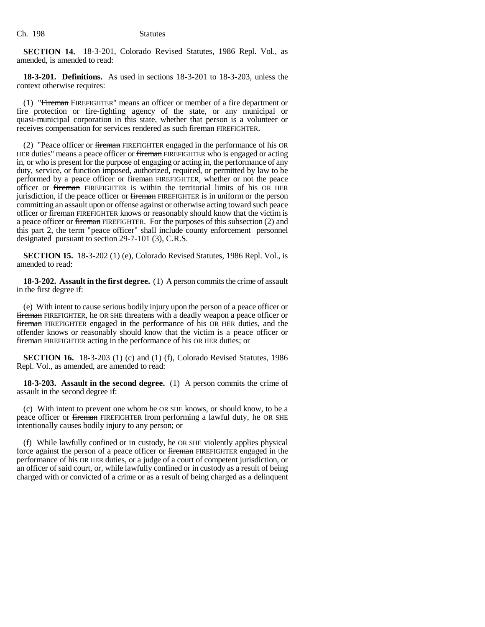**SECTION 14.** 18-3-201, Colorado Revised Statutes, 1986 Repl. Vol., as amended, is amended to read:

**18-3-201. Definitions.** As used in sections 18-3-201 to 18-3-203, unless the context otherwise requires:

(1) "Fireman FIREFIGHTER" means an officer or member of a fire department or fire protection or fire-fighting agency of the state, or any municipal or quasi-municipal corporation in this state, whether that person is a volunteer or receives compensation for services rendered as such fireman FIREFIGHTER.

(2) "Peace officer or fireman FIREFIGHTER engaged in the performance of his OR HER duties" means a peace officer or fireman FIREFIGHTER who is engaged or acting in, or who is present for the purpose of engaging or acting in, the performance of any duty, service, or function imposed, authorized, required, or permitted by law to be performed by a peace officer or fireman FIREFIGHTER, whether or not the peace officer or fireman FIREFIGHTER is within the territorial limits of his OR HER jurisdiction, if the peace officer or fireman FIREFIGHTER is in uniform or the person committing an assault upon or offense against or otherwise acting toward such peace officer or **fireman** FIREFIGHTER knows or reasonably should know that the victim is a peace officer or fireman FIREFIGHTER. For the purposes of this subsection (2) and this part 2, the term "peace officer" shall include county enforcement personnel designated pursuant to section 29-7-101 (3), C.R.S.

**SECTION 15.** 18-3-202 (1) (e), Colorado Revised Statutes, 1986 Repl. Vol., is amended to read:

**18-3-202. Assault in the first degree.** (1) A person commits the crime of assault in the first degree if:

(e) With intent to cause serious bodily injury upon the person of a peace officer or fireman FIREFIGHTER, he OR SHE threatens with a deadly weapon a peace officer or fireman FIREFIGHTER engaged in the performance of his OR HER duties, and the offender knows or reasonably should know that the victim is a peace officer or fireman FIREFIGHTER acting in the performance of his OR HER duties; or

**SECTION 16.** 18-3-203 (1) (c) and (1) (f), Colorado Revised Statutes, 1986 Repl. Vol., as amended, are amended to read:

**18-3-203. Assault in the second degree.** (1) A person commits the crime of assault in the second degree if:

(c) With intent to prevent one whom he OR SHE knows, or should know, to be a peace officer or *fireman* FIREFIGHTER from performing a lawful duty, he OR SHE intentionally causes bodily injury to any person; or

(f) While lawfully confined or in custody, he OR SHE violently applies physical force against the person of a peace officer or fireman FIREFIGHTER engaged in the performance of his OR HER duties, or a judge of a court of competent jurisdiction, or an officer of said court, or, while lawfully confined or in custody as a result of being charged with or convicted of a crime or as a result of being charged as a delinquent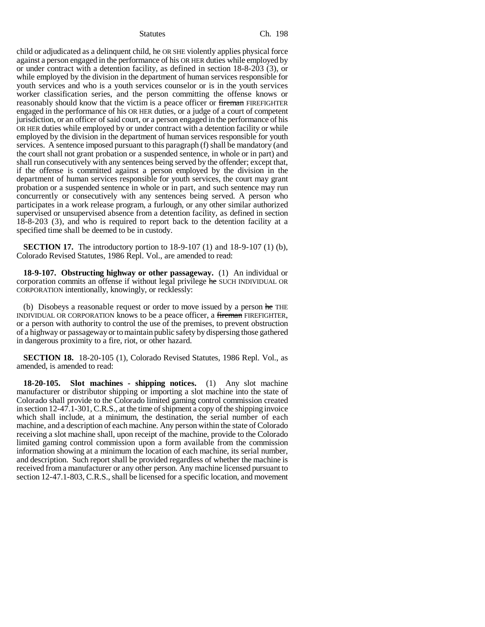child or adjudicated as a delinquent child, he OR SHE violently applies physical force against a person engaged in the performance of his OR HER duties while employed by or under contract with a detention facility, as defined in section 18-8-203 (3), or while employed by the division in the department of human services responsible for youth services and who is a youth services counselor or is in the youth services worker classification series, and the person committing the offense knows or reasonably should know that the victim is a peace officer or fireman FIREFIGHTER engaged in the performance of his OR HER duties, or a judge of a court of competent jurisdiction, or an officer of said court, or a person engaged in the performance of his OR HER duties while employed by or under contract with a detention facility or while employed by the division in the department of human services responsible for youth services. A sentence imposed pursuant to this paragraph (f) shall be mandatory (and the court shall not grant probation or a suspended sentence, in whole or in part) and shall run consecutively with any sentences being served by the offender; except that, if the offense is committed against a person employed by the division in the department of human services responsible for youth services, the court may grant probation or a suspended sentence in whole or in part, and such sentence may run concurrently or consecutively with any sentences being served. A person who participates in a work release program, a furlough, or any other similar authorized supervised or unsupervised absence from a detention facility, as defined in section 18-8-203 (3), and who is required to report back to the detention facility at a specified time shall be deemed to be in custody.

**SECTION 17.** The introductory portion to 18-9-107 (1) and 18-9-107 (1) (b), Colorado Revised Statutes, 1986 Repl. Vol., are amended to read:

**18-9-107. Obstructing highway or other passageway.** (1) An individual or corporation commits an offense if without legal privilege he SUCH INDIVIDUAL OR CORPORATION intentionally, knowingly, or recklessly:

(b) Disobeys a reasonable request or order to move issued by a person he THE INDIVIDUAL OR CORPORATION knows to be a peace officer, a fireman FIREFIGHTER, or a person with authority to control the use of the premises, to prevent obstruction of a highway or passageway or to maintain public safety by dispersing those gathered in dangerous proximity to a fire, riot, or other hazard.

**SECTION 18.** 18-20-105 (1), Colorado Revised Statutes, 1986 Repl. Vol., as amended, is amended to read:

**18-20-105. Slot machines - shipping notices.** (1) Any slot machine manufacturer or distributor shipping or importing a slot machine into the state of Colorado shall provide to the Colorado limited gaming control commission created in section 12-47.1-301, C.R.S., at the time of shipment a copy of the shipping invoice which shall include, at a minimum, the destination, the serial number of each machine, and a description of each machine. Any person within the state of Colorado receiving a slot machine shall, upon receipt of the machine, provide to the Colorado limited gaming control commission upon a form available from the commission information showing at a minimum the location of each machine, its serial number, and description. Such report shall be provided regardless of whether the machine is received from a manufacturer or any other person. Any machine licensed pursuant to section 12-47.1-803, C.R.S., shall be licensed for a specific location, and movement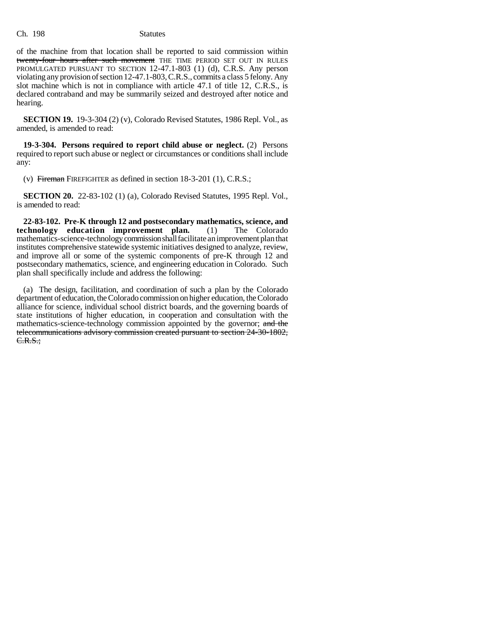of the machine from that location shall be reported to said commission within twenty-four hours after such movement THE TIME PERIOD SET OUT IN RULES PROMULGATED PURSUANT TO SECTION 12-47.1-803 (1) (d), C.R.S. Any person violating any provision of section 12-47.1-803, C.R.S., commits a class 5 felony. Any slot machine which is not in compliance with article 47.1 of title 12, C.R.S., is declared contraband and may be summarily seized and destroyed after notice and hearing.

**SECTION 19.** 19-3-304 (2) (v), Colorado Revised Statutes, 1986 Repl. Vol., as amended, is amended to read:

**19-3-304. Persons required to report child abuse or neglect.** (2) Persons required to report such abuse or neglect or circumstances or conditions shall include any:

(v) Fireman FIREFIGHTER as defined in section 18-3-201 (1), C.R.S.;

**SECTION 20.** 22-83-102 (1) (a), Colorado Revised Statutes, 1995 Repl. Vol., is amended to read:

**22-83-102. Pre-K through 12 and postsecondary mathematics, science, and** technology education improvement plan. mathematics-science-technology commission shall facilitate an improvement plan that institutes comprehensive statewide systemic initiatives designed to analyze, review, and improve all or some of the systemic components of pre-K through 12 and postsecondary mathematics, science, and engineering education in Colorado. Such plan shall specifically include and address the following:

(a) The design, facilitation, and coordination of such a plan by the Colorado department of education, the Colorado commission on higher education, the Colorado alliance for science, individual school district boards, and the governing boards of state institutions of higher education, in cooperation and consultation with the mathematics-science-technology commission appointed by the governor; and the telecommunications advisory commission created pursuant to section 24-30-1802, C.R.S.;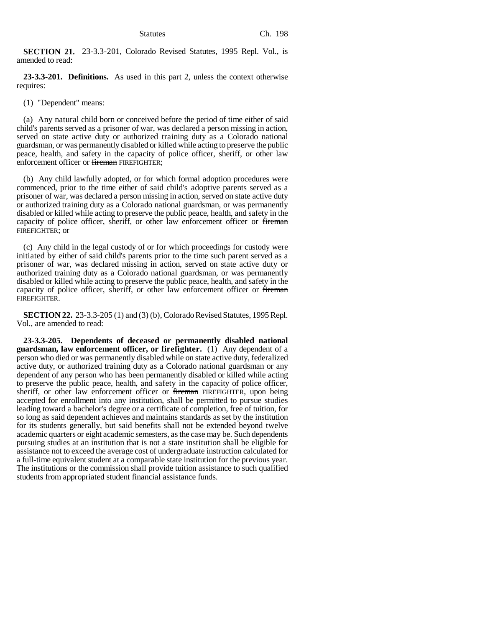**SECTION 21.** 23-3.3-201, Colorado Revised Statutes, 1995 Repl. Vol., is amended to read:

**23-3.3-201. Definitions.** As used in this part 2, unless the context otherwise requires:

(1) "Dependent" means:

(a) Any natural child born or conceived before the period of time either of said child's parents served as a prisoner of war, was declared a person missing in action, served on state active duty or authorized training duty as a Colorado national guardsman, or was permanently disabled or killed while acting to preserve the public peace, health, and safety in the capacity of police officer, sheriff, or other law enforcement officer or fireman FIREFIGHTER;

(b) Any child lawfully adopted, or for which formal adoption procedures were commenced, prior to the time either of said child's adoptive parents served as a prisoner of war, was declared a person missing in action, served on state active duty or authorized training duty as a Colorado national guardsman, or was permanently disabled or killed while acting to preserve the public peace, health, and safety in the capacity of police officer, sheriff, or other law enforcement officer or fireman FIREFIGHTER; or

(c) Any child in the legal custody of or for which proceedings for custody were initiated by either of said child's parents prior to the time such parent served as a prisoner of war, was declared missing in action, served on state active duty or authorized training duty as a Colorado national guardsman, or was permanently disabled or killed while acting to preserve the public peace, health, and safety in the capacity of police officer, sheriff, or other law enforcement officer or fireman FIREFIGHTER.

**SECTION 22.** 23-3.3-205 (1) and (3) (b), Colorado Revised Statutes, 1995 Repl. Vol., are amended to read:

**23-3.3-205. Dependents of deceased or permanently disabled national guardsman, law enforcement officer, or firefighter.** (1) Any dependent of a person who died or was permanently disabled while on state active duty, federalized active duty, or authorized training duty as a Colorado national guardsman or any dependent of any person who has been permanently disabled or killed while acting to preserve the public peace, health, and safety in the capacity of police officer, sheriff, or other law enforcement officer or fireman FIREFIGHTER, upon being accepted for enrollment into any institution, shall be permitted to pursue studies leading toward a bachelor's degree or a certificate of completion, free of tuition, for so long as said dependent achieves and maintains standards as set by the institution for its students generally, but said benefits shall not be extended beyond twelve academic quarters or eight academic semesters, as the case may be. Such dependents pursuing studies at an institution that is not a state institution shall be eligible for assistance not to exceed the average cost of undergraduate instruction calculated for a full-time equivalent student at a comparable state institution for the previous year. The institutions or the commission shall provide tuition assistance to such qualified students from appropriated student financial assistance funds.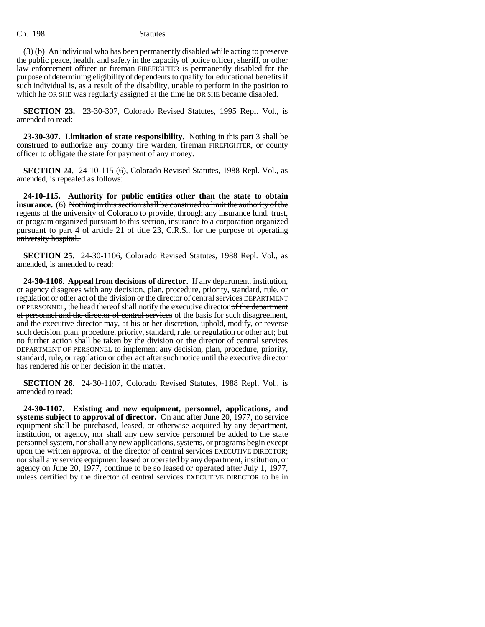(3) (b) An individual who has been permanently disabled while acting to preserve the public peace, health, and safety in the capacity of police officer, sheriff, or other law enforcement officer or fireman FIREFIGHTER is permanently disabled for the purpose of determining eligibility of dependents to qualify for educational benefits if such individual is, as a result of the disability, unable to perform in the position to which he OR SHE was regularly assigned at the time he OR SHE became disabled.

**SECTION 23.** 23-30-307, Colorado Revised Statutes, 1995 Repl. Vol., is amended to read:

**23-30-307. Limitation of state responsibility.** Nothing in this part 3 shall be construed to authorize any county fire warden, fireman FIREFIGHTER, or county officer to obligate the state for payment of any money.

**SECTION 24.** 24-10-115 (6), Colorado Revised Statutes, 1988 Repl. Vol., as amended, is repealed as follows:

**24-10-115. Authority for public entities other than the state to obtain insurance.** (6) Nothing in this section shall be construed to limit the authority of the regents of the university of Colorado to provide, through any insurance fund, trust, or program organized pursuant to this section, insurance to a corporation organized pursuant to part 4 of article 21 of title 23, C.R.S., for the purpose of operating university hospital.

**SECTION 25.** 24-30-1106, Colorado Revised Statutes, 1988 Repl. Vol., as amended, is amended to read:

**24-30-1106. Appeal from decisions of director.** If any department, institution, or agency disagrees with any decision, plan, procedure, priority, standard, rule, or regulation or other act of the division or the director of central services DEPARTMENT OF PERSONNEL, the head thereof shall notify the executive director of the department of personnel and the director of central services of the basis for such disagreement, and the executive director may, at his or her discretion, uphold, modify, or reverse such decision, plan, procedure, priority, standard, rule, or regulation or other act; but no further action shall be taken by the division or the director of central services DEPARTMENT OF PERSONNEL to implement any decision, plan, procedure, priority, standard, rule, or regulation or other act after such notice until the executive director has rendered his or her decision in the matter.

**SECTION 26.** 24-30-1107, Colorado Revised Statutes, 1988 Repl. Vol., is amended to read:

**24-30-1107. Existing and new equipment, personnel, applications, and systems subject to approval of director.** On and after June 20, 1977, no service equipment shall be purchased, leased, or otherwise acquired by any department, institution, or agency, nor shall any new service personnel be added to the state personnel system, nor shall any new applications, systems, or programs begin except upon the written approval of the <del>director of central services</del> EXECUTIVE DIRECTOR; nor shall any service equipment leased or operated by any department, institution, or agency on June 20, 1977, continue to be so leased or operated after July 1, 1977, unless certified by the <del>director of central services</del> EXECUTIVE DIRECTOR to be in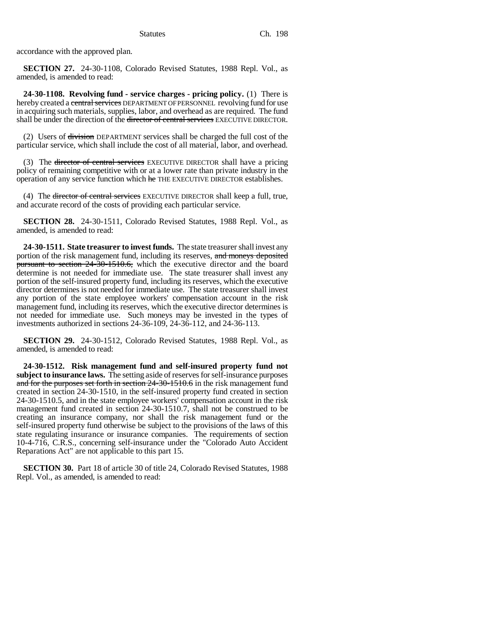accordance with the approved plan.

**SECTION 27.** 24-30-1108, Colorado Revised Statutes, 1988 Repl. Vol., as amended, is amended to read:

**24-30-1108. Revolving fund - service charges - pricing policy.** (1) There is hereby created a central services DEPARTMENT OF PERSONNEL revolving fund for use in acquiring such materials, supplies, labor, and overhead as are required. The fund shall be under the direction of the <del>director of central services</del> EXECUTIVE DIRECTOR.

(2) Users of division DEPARTMENT services shall be charged the full cost of the particular service, which shall include the cost of all material, labor, and overhead.

(3) The director of central services EXECUTIVE DIRECTOR shall have a pricing policy of remaining competitive with or at a lower rate than private industry in the operation of any service function which he THE EXECUTIVE DIRECTOR establishes.

(4) The <del>director of central services</del> EXECUTIVE DIRECTOR shall keep a full, true, and accurate record of the costs of providing each particular service.

**SECTION 28.** 24-30-1511, Colorado Revised Statutes, 1988 Repl. Vol., as amended, is amended to read:

**24-30-1511. State treasurer to invest funds.** The state treasurer shall invest any portion of the risk management fund, including its reserves, and moneys deposited pursuant to section 24-30-1510.6, which the executive director and the board determine is not needed for immediate use. The state treasurer shall invest any portion of the self-insured property fund, including its reserves, which the executive director determines is not needed for immediate use. The state treasurer shall invest any portion of the state employee workers' compensation account in the risk management fund, including its reserves, which the executive director determines is not needed for immediate use. Such moneys may be invested in the types of investments authorized in sections 24-36-109, 24-36-112, and 24-36-113.

**SECTION 29.** 24-30-1512, Colorado Revised Statutes, 1988 Repl. Vol., as amended, is amended to read:

**24-30-1512. Risk management fund and self-insured property fund not subject to insurance laws.** The setting aside of reserves for self-insurance purposes and for the purposes set forth in section 24-30-1510.6 in the risk management fund created in section 24-30-1510, in the self-insured property fund created in section 24-30-1510.5, and in the state employee workers' compensation account in the risk management fund created in section 24-30-1510.7, shall not be construed to be creating an insurance company, nor shall the risk management fund or the self-insured property fund otherwise be subject to the provisions of the laws of this state regulating insurance or insurance companies. The requirements of section 10-4-716, C.R.S., concerning self-insurance under the "Colorado Auto Accident Reparations Act" are not applicable to this part 15.

**SECTION 30.** Part 18 of article 30 of title 24, Colorado Revised Statutes, 1988 Repl. Vol., as amended, is amended to read: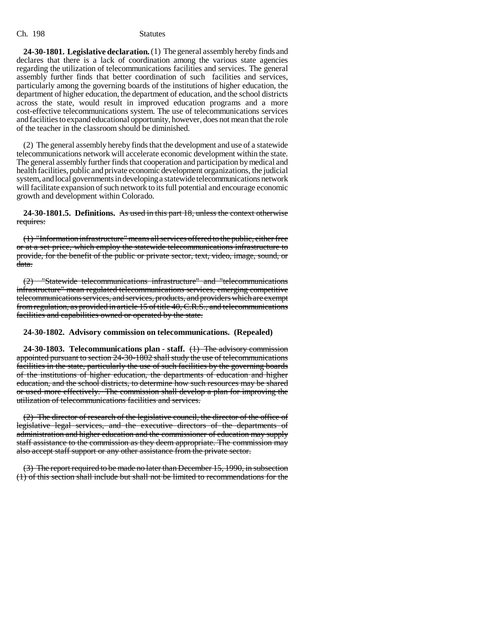**24-30-1801. Legislative declaration.** (1) The general assembly hereby finds and declares that there is a lack of coordination among the various state agencies regarding the utilization of telecommunications facilities and services. The general assembly further finds that better coordination of such facilities and services, particularly among the governing boards of the institutions of higher education, the department of higher education, the department of education, and the school districts across the state, would result in improved education programs and a more cost-effective telecommunications system. The use of telecommunications services and facilities to expand educational opportunity, however, does not mean that the role of the teacher in the classroom should be diminished.

(2) The general assembly hereby finds that the development and use of a statewide telecommunications network will accelerate economic development within the state. The general assembly further finds that cooperation and participation by medical and health facilities, public and private economic development organizations, the judicial system, and local governments in developing a statewide telecommunications network will facilitate expansion of such network to its full potential and encourage economic growth and development within Colorado.

**24-30-1801.5. Definitions.** As used in this part 18, unless the context otherwise requires:

(1) "Information infrastructure" means all services offered to the public, either free or at a set price, which employ the statewide telecommunications infrastructure to provide, for the benefit of the public or private sector, text, video, image, sound, or data.

(2) "Statewide telecommunications infrastructure" and "telecommunications infrastructure" mean regulated telecommunications services, emerging competitive telecommunications services, and services, products, and providers which are exempt from regulation, as provided in article 15 of title 40, C.R.S., and telecommunications facilities and capabilities owned or operated by the state.

## **24-30-1802. Advisory commission on telecommunications. (Repealed)**

**24-30-1803. Telecommunications plan - staff.** (1) The advisory commission appointed pursuant to section 24-30-1802 shall study the use of telecommunications facilities in the state, particularly the use of such facilities by the governing boards of the institutions of higher education, the departments of education and higher education, and the school districts, to determine how such resources may be shared or used more effectively. The commission shall develop a plan for improving the utilization of telecommunications facilities and services.

(2) The director of research of the legislative council, the director of the office of legislative legal services, and the executive directors of the departments of administration and higher education and the commissioner of education may supply staff assistance to the commission as they deem appropriate. The commission may also accept staff support or any other assistance from the private sector.

(3) The report required to be made no later than December 15, 1990, in subsection (1) of this section shall include but shall not be limited to recommendations for the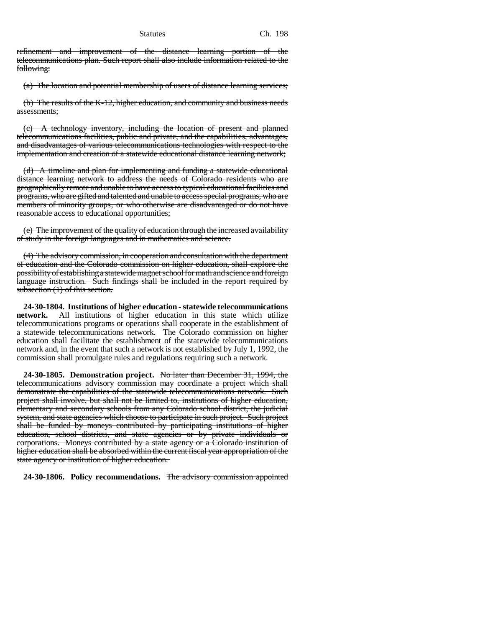refinement and improvement of the distance learning portion of the telecommunications plan. Such report shall also include information related to the following:

(a) The location and potential membership of users of distance learning services;

(b) The results of the K-12, higher education, and community and business needs assessments;

(c) A technology inventory, including the location of present and planned telecommunications facilities, public and private, and the capabilities, advantages, and disadvantages of various telecommunications technologies with respect to the implementation and creation of a statewide educational distance learning network;

(d) A timeline and plan for implementing and funding a statewide educational distance learning network to address the needs of Colorado residents who are geographically remote and unable to have access to typical educational facilities and programs, who are gifted and talented and unable to access special programs, who are members of minority groups, or who otherwise are disadvantaged or do not have reasonable access to educational opportunities;

(e) The improvement of the quality of education through the increased availability of study in the foreign languages and in mathematics and science.

(4) The advisory commission, in cooperation and consultation with the department of education and the Colorado commission on higher education, shall explore the possibility of establishing a statewide magnet school for math and science and foreign language instruction. Such findings shall be included in the report required by subsection  $(1)$  of this section.

**24-30-1804. Institutions of higher education - statewide telecommunications network.** All institutions of higher education in this state which utilize telecommunications programs or operations shall cooperate in the establishment of a statewide telecommunications network. The Colorado commission on higher education shall facilitate the establishment of the statewide telecommunications network and, in the event that such a network is not established by July 1, 1992, the commission shall promulgate rules and regulations requiring such a network.

**24-30-1805. Demonstration project.** No later than December 31, 1994, the telecommunications advisory commission may coordinate a project which shall demonstrate the capabilities of the statewide telecommunications network. Such project shall involve, but shall not be limited to, institutions of higher education, elementary and secondary schools from any Colorado school district, the judicial system, and state agencies which choose to participate in such project. Such project shall be funded by moneys contributed by participating institutions of higher education, school districts, and state agencies or by private individuals or corporations. Moneys contributed by a state agency or a Colorado institution of higher education shall be absorbed within the current fiscal year appropriation of the state agency or institution of higher education.

**24-30-1806. Policy recommendations.** The advisory commission appointed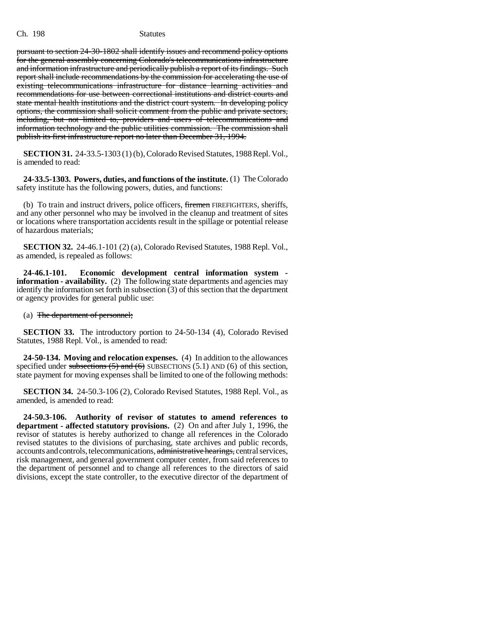pursuant to section 24-30-1802 shall identify issues and recommend policy options for the general assembly concerning Colorado's telecommunications infrastructure and information infrastructure and periodically publish a report of its findings. Such report shall include recommendations by the commission for accelerating the use of existing telecommunications infrastructure for distance learning activities and recommendations for use between correctional institutions and district courts and state mental health institutions and the district court system. In developing policy options, the commission shall solicit comment from the public and private sectors, including, but not limited to, providers and users of telecommunications and information technology and the public utilities commission. The commission shall publish its first infrastructure report no later than December 31, 1994.

**SECTION 31.** 24-33.5-1303 (1) (b), Colorado Revised Statutes, 1988 Repl. Vol., is amended to read:

**24-33.5-1303. Powers, duties, and functions of the institute.** (1) The Colorado safety institute has the following powers, duties, and functions:

(b) To train and instruct drivers, police officers, firemen FIREFIGHTERS, sheriffs, and any other personnel who may be involved in the cleanup and treatment of sites or locations where transportation accidents result in the spillage or potential release of hazardous materials;

**SECTION 32.** 24-46.1-101 (2) (a), Colorado Revised Statutes, 1988 Repl. Vol., as amended, is repealed as follows:

**24-46.1-101. Economic development central information system information - availability.** (2) The following state departments and agencies may identify the information set forth in subsection (3) of this section that the department or agency provides for general public use:

(a) The department of personnel;

**SECTION 33.** The introductory portion to 24-50-134 (4), Colorado Revised Statutes, 1988 Repl. Vol., is amended to read:

**24-50-134. Moving and relocation expenses.** (4) In addition to the allowances specified under subsections  $(5)$  and  $(6)$  SUBSECTIONS  $(5.1)$  AND  $(6)$  of this section, state payment for moving expenses shall be limited to one of the following methods:

**SECTION 34.** 24-50.3-106 (2), Colorado Revised Statutes, 1988 Repl. Vol., as amended, is amended to read:

**24-50.3-106. Authority of revisor of statutes to amend references to department - affected statutory provisions.** (2) On and after July 1, 1996, the revisor of statutes is hereby authorized to change all references in the Colorado revised statutes to the divisions of purchasing, state archives and public records, accounts and controls, telecommunications, administrative hearings, central services, risk management, and general government computer center, from said references to the department of personnel and to change all references to the directors of said divisions, except the state controller, to the executive director of the department of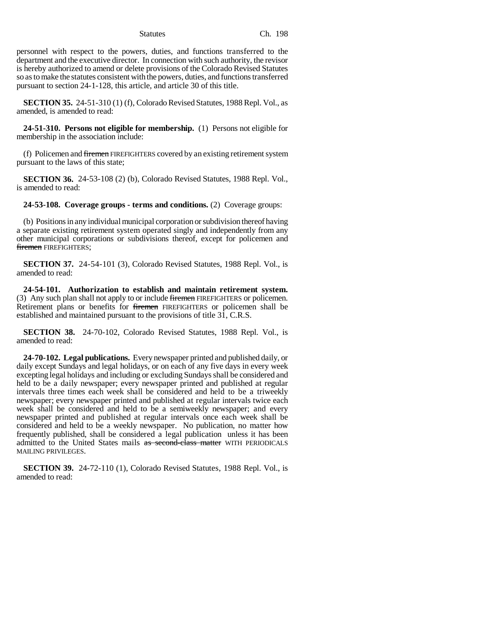personnel with respect to the powers, duties, and functions transferred to the department and the executive director. In connection with such authority, the revisor is hereby authorized to amend or delete provisions of the Colorado Revised Statutes so as to make the statutes consistent with the powers, duties, and functions transferred pursuant to section 24-1-128, this article, and article 30 of this title.

**SECTION 35.** 24-51-310 (1) (f), Colorado Revised Statutes, 1988 Repl. Vol., as amended, is amended to read:

**24-51-310. Persons not eligible for membership.** (1) Persons not eligible for membership in the association include:

(f) Policemen and firemen FIREFIGHTERS covered by an existing retirement system pursuant to the laws of this state;

**SECTION 36.** 24-53-108 (2) (b), Colorado Revised Statutes, 1988 Repl. Vol., is amended to read:

**24-53-108. Coverage groups - terms and conditions.** (2) Coverage groups:

(b) Positions in any individual municipal corporation or subdivision thereof having a separate existing retirement system operated singly and independently from any other municipal corporations or subdivisions thereof, except for policemen and firemen FIREFIGHTERS;

**SECTION 37.** 24-54-101 (3), Colorado Revised Statutes, 1988 Repl. Vol., is amended to read:

**24-54-101. Authorization to establish and maintain retirement system.** (3) Any such plan shall not apply to or include firemen FIREFIGHTERS or policemen. Retirement plans or benefits for firemen FIREFIGHTERS or policemen shall be established and maintained pursuant to the provisions of title 31, C.R.S.

**SECTION 38.** 24-70-102, Colorado Revised Statutes, 1988 Repl. Vol., is amended to read:

**24-70-102. Legal publications.** Every newspaper printed and published daily, or daily except Sundays and legal holidays, or on each of any five days in every week excepting legal holidays and including or excluding Sundays shall be considered and held to be a daily newspaper; every newspaper printed and published at regular intervals three times each week shall be considered and held to be a triweekly newspaper; every newspaper printed and published at regular intervals twice each week shall be considered and held to be a semiweekly newspaper; and every newspaper printed and published at regular intervals once each week shall be considered and held to be a weekly newspaper. No publication, no matter how frequently published, shall be considered a legal publication unless it has been admitted to the United States mails as second-class matter WITH PERIODICALS MAILING PRIVILEGES.

**SECTION 39.** 24-72-110 (1), Colorado Revised Statutes, 1988 Repl. Vol., is amended to read: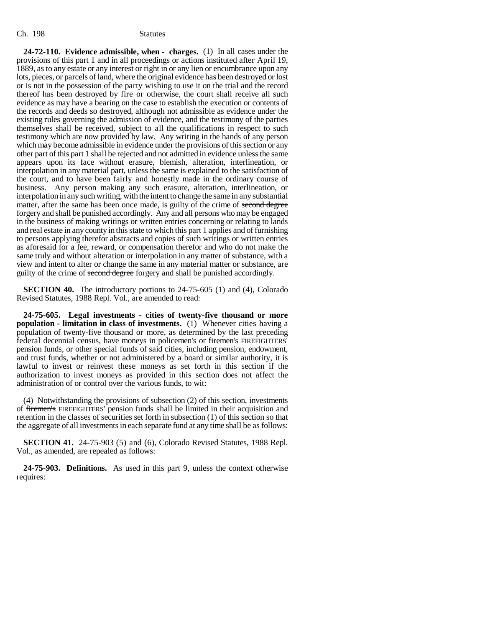**24-72-110. Evidence admissible, when - charges.** (1) In all cases under the provisions of this part 1 and in all proceedings or actions instituted after April 19, 1889, as to any estate or any interest or right in or any lien or encumbrance upon any lots, pieces, or parcels of land, where the original evidence has been destroyed or lost or is not in the possession of the party wishing to use it on the trial and the record thereof has been destroyed by fire or otherwise, the court shall receive all such evidence as may have a bearing on the case to establish the execution or contents of the records and deeds so destroyed, although not admissible as evidence under the existing rules governing the admission of evidence, and the testimony of the parties themselves shall be received, subject to all the qualifications in respect to such testimony which are now provided by law. Any writing in the hands of any person which may become admissible in evidence under the provisions of this section or any other part of this part 1 shall be rejected and not admitted in evidence unless the same appears upon its face without erasure, blemish, alteration, interlineation, or interpolation in any material part, unless the same is explained to the satisfaction of the court, and to have been fairly and honestly made in the ordinary course of business. Any person making any such erasure, alteration, interlineation, or interpolation in any such writing, with the intent to change the same in any substantial matter, after the same has been once made, is guilty of the crime of second degree forgery and shall be punished accordingly. Any and all persons who may be engaged in the business of making writings or written entries concerning or relating to lands and real estate in any county in this state to which this part 1 applies and of furnishing to persons applying therefor abstracts and copies of such writings or written entries as aforesaid for a fee, reward, or compensation therefor and who do not make the same truly and without alteration or interpolation in any matter of substance, with a view and intent to alter or change the same in any material matter or substance, are guilty of the crime of second degree forgery and shall be punished accordingly.

**SECTION 40.** The introductory portions to 24-75-605 (1) and (4), Colorado Revised Statutes, 1988 Repl. Vol., are amended to read:

**24-75-605. Legal investments - cities of twenty-five thousand or more population - limitation in class of investments.** (1) Whenever cities having a population of twenty-five thousand or more, as determined by the last preceding federal decennial census, have moneys in policemen's or firemen's FIREFIGHTERS' pension funds, or other special funds of said cities, including pension, endowment, and trust funds, whether or not administered by a board or similar authority, it is lawful to invest or reinvest these moneys as set forth in this section if the authorization to invest moneys as provided in this section does not affect the administration of or control over the various funds, to wit:

(4) Notwithstanding the provisions of subsection (2) of this section, investments of firemen's FIREFIGHTERS' pension funds shall be limited in their acquisition and retention in the classes of securities set forth in subsection (1) of this section so that the aggregate of all investments in each separate fund at any time shall be as follows:

**SECTION 41.** 24-75-903 (5) and (6), Colorado Revised Statutes, 1988 Repl. Vol., as amended, are repealed as follows:

**24-75-903. Definitions.** As used in this part 9, unless the context otherwise requires: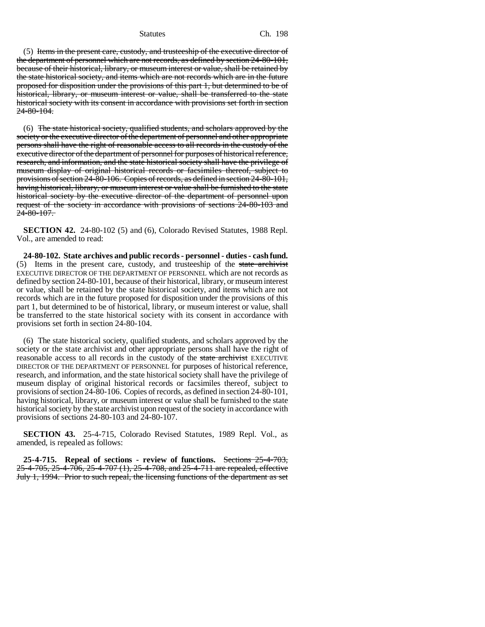### Statutes Ch. 198

(5) Items in the present care, custody, and trusteeship of the executive director of the department of personnel which are not records, as defined by section 24-80-101, because of their historical, library, or museum interest or value, shall be retained by the state historical society, and items which are not records which are in the future proposed for disposition under the provisions of this part 1, but determined to be of historical, library, or museum interest or value, shall be transferred to the state historical society with its consent in accordance with provisions set forth in section 24-80-104.

(6) The state historical society, qualified students, and scholars approved by the society or the executive director of the department of personnel and other appropriate persons shall have the right of reasonable access to all records in the custody of the executive director of the department of personnel for purposes of historical reference, research, and information, and the state historical society shall have the privilege of museum display of original historical records or facsimiles thereof, subject to provisions of section 24-80-106. Copies of records, as defined in section 24-80-101, having historical, library, or museum interest or value shall be furnished to the state historical society by the executive director of the department of personnel upon request of the society in accordance with provisions of sections 24-80-103 and  $24 - 80 - 107$ .

**SECTION 42.** 24-80-102 (5) and (6), Colorado Revised Statutes, 1988 Repl. Vol., are amended to read:

**24-80-102. State archives and public records - personnel - duties - cash fund.** (5) Items in the present care, custody, and trusteeship of the state archivist EXECUTIVE DIRECTOR OF THE DEPARTMENT OF PERSONNEL which are not records as defined by section 24-80-101, because of their historical, library, or museum interest or value, shall be retained by the state historical society, and items which are not records which are in the future proposed for disposition under the provisions of this part 1, but determined to be of historical, library, or museum interest or value, shall be transferred to the state historical society with its consent in accordance with provisions set forth in section 24-80-104.

(6) The state historical society, qualified students, and scholars approved by the society or the state archivist and other appropriate persons shall have the right of reasonable access to all records in the custody of the state archivist EXECUTIVE DIRECTOR OF THE DEPARTMENT OF PERSONNEL for purposes of historical reference, research, and information, and the state historical society shall have the privilege of museum display of original historical records or facsimiles thereof, subject to provisions of section 24-80-106. Copies of records, as defined in section 24-80-101, having historical, library, or museum interest or value shall be furnished to the state historical society by the state archivist upon request of the society in accordance with provisions of sections 24-80-103 and 24-80-107.

**SECTION 43.** 25-4-715, Colorado Revised Statutes, 1989 Repl. Vol., as amended, is repealed as follows:

**25-4-715. Repeal of sections - review of functions.** Sections 25-4-703, 25-4-705, 25-4-706, 25-4-707 (1), 25-4-708, and 25-4-711 are repealed, effective July 1, 1994. Prior to such repeal, the licensing functions of the department as set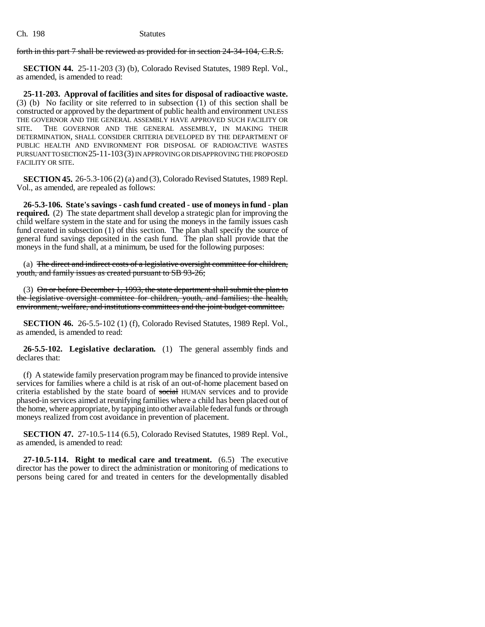forth in this part 7 shall be reviewed as provided for in section 24-34-104, C.R.S.

**SECTION 44.** 25-11-203 (3) (b), Colorado Revised Statutes, 1989 Repl. Vol., as amended, is amended to read:

**25-11-203. Approval of facilities and sites for disposal of radioactive waste.** (3) (b) No facility or site referred to in subsection (1) of this section shall be constructed or approved by the department of public health and environment UNLESS THE GOVERNOR AND THE GENERAL ASSEMBLY HAVE APPROVED SUCH FACILITY OR SITE. THE GOVERNOR AND THE GENERAL ASSEMBLY, IN MAKING THEIR DETERMINATION, SHALL CONSIDER CRITERIA DEVELOPED BY THE DEPARTMENT OF PUBLIC HEALTH AND ENVIRONMENT FOR DISPOSAL OF RADIOACTIVE WASTES PURSUANT TO SECTION 25-11-103(3) IN APPROVING OR DISAPPROVING THE PROPOSED FACILITY OR SITE.

**SECTION 45.** 26-5.3-106 (2) (a) and (3), Colorado Revised Statutes, 1989 Repl. Vol., as amended, are repealed as follows:

**26-5.3-106. State's savings - cash fund created - use of moneys in fund - plan required.** (2) The state department shall develop a strategic plan for improving the child welfare system in the state and for using the moneys in the family issues cash fund created in subsection (1) of this section. The plan shall specify the source of general fund savings deposited in the cash fund. The plan shall provide that the moneys in the fund shall, at a minimum, be used for the following purposes:

(a) The direct and indirect costs of a legislative oversight committee for children, youth, and family issues as created pursuant to SB 93-26;

(3) On or before December 1, 1993, the state department shall submit the plan to the legislative oversight committee for children, youth, and families; the health, environment, welfare, and institutions committees and the joint budget committee.

**SECTION 46.** 26-5.5-102 (1) (f), Colorado Revised Statutes, 1989 Repl. Vol., as amended, is amended to read:

**26-5.5-102. Legislative declaration.** (1) The general assembly finds and declares that:

(f) A statewide family preservation program may be financed to provide intensive services for families where a child is at risk of an out-of-home placement based on criteria established by the state board of social HUMAN services and to provide phased-in services aimed at reunifying families where a child has been placed out of the home, where appropriate, by tapping into other available federal funds or through moneys realized from cost avoidance in prevention of placement.

**SECTION 47.** 27-10.5-114 (6.5), Colorado Revised Statutes, 1989 Repl. Vol., as amended, is amended to read:

**27-10.5-114. Right to medical care and treatment.** (6.5) The executive director has the power to direct the administration or monitoring of medications to persons being cared for and treated in centers for the developmentally disabled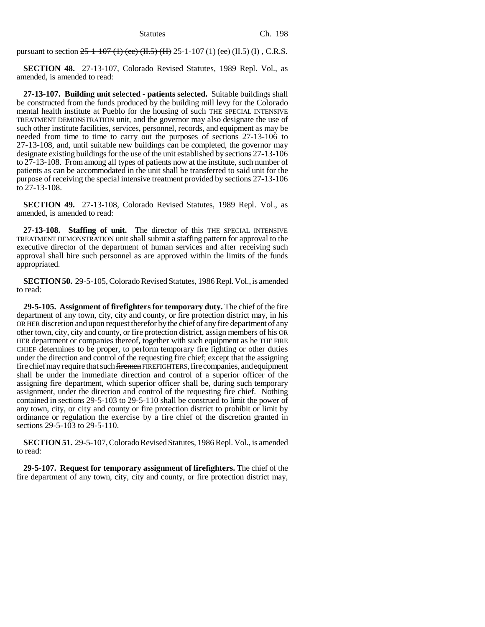pursuant to section  $25$ -1-107 (1) (ee) (H, 5) (H) 25-1-107 (1) (ee) (II.5) (I), C.R.S.

**SECTION 48.** 27-13-107, Colorado Revised Statutes, 1989 Repl. Vol., as amended, is amended to read:

**27-13-107. Building unit selected - patients selected.** Suitable buildings shall be constructed from the funds produced by the building mill levy for the Colorado mental health institute at Pueblo for the housing of such THE SPECIAL INTENSIVE TREATMENT DEMONSTRATION unit, and the governor may also designate the use of such other institute facilities, services, personnel, records, and equipment as may be needed from time to time to carry out the purposes of sections 27-13-106 to 27-13-108, and, until suitable new buildings can be completed, the governor may designate existing buildings for the use of the unit established by sections 27-13-106 to 27-13-108. From among all types of patients now at the institute, such number of patients as can be accommodated in the unit shall be transferred to said unit for the purpose of receiving the special intensive treatment provided by sections 27-13-106 to 27-13-108.

**SECTION 49.** 27-13-108, Colorado Revised Statutes, 1989 Repl. Vol., as amended, is amended to read:

**27-13-108. Staffing of unit.** The director of this THE SPECIAL INTENSIVE TREATMENT DEMONSTRATION unit shall submit a staffing pattern for approval to the executive director of the department of human services and after receiving such approval shall hire such personnel as are approved within the limits of the funds appropriated.

**SECTION 50.** 29-5-105, Colorado Revised Statutes, 1986 Repl. Vol., is amended to read:

**29-5-105. Assignment of firefighters for temporary duty.** The chief of the fire department of any town, city, city and county, or fire protection district may, in his OR HER discretion and upon request therefor by the chief of any fire department of any other town, city, city and county, or fire protection district, assign members of his OR HER department or companies thereof, together with such equipment as he THE FIRE CHIEF determines to be proper, to perform temporary fire fighting or other duties under the direction and control of the requesting fire chief; except that the assigning fire chief may require that such firemen FIREFIGHTERS, fire companies, and equipment shall be under the immediate direction and control of a superior officer of the assigning fire department, which superior officer shall be, during such temporary assignment, under the direction and control of the requesting fire chief. Nothing contained in sections 29-5-103 to 29-5-110 shall be construed to limit the power of any town, city, or city and county or fire protection district to prohibit or limit by ordinance or regulation the exercise by a fire chief of the discretion granted in sections 29-5-103 to 29-5-110.

**SECTION 51.** 29-5-107, Colorado Revised Statutes, 1986 Repl. Vol., is amended to read:

**29-5-107. Request for temporary assignment of firefighters.** The chief of the fire department of any town, city, city and county, or fire protection district may,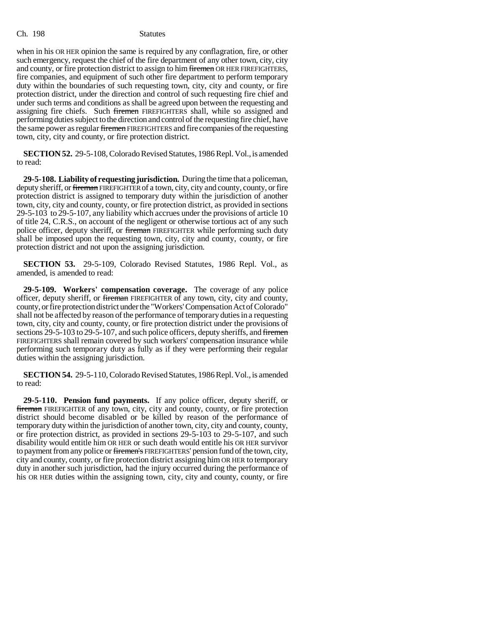when in his OR HER opinion the same is required by any conflagration, fire, or other such emergency, request the chief of the fire department of any other town, city, city and county, or fire protection district to assign to him firemen OR HER FIREFIGHTERS, fire companies, and equipment of such other fire department to perform temporary duty within the boundaries of such requesting town, city, city and county, or fire protection district, under the direction and control of such requesting fire chief and under such terms and conditions as shall be agreed upon between the requesting and assigning fire chiefs. Such firemen FIREFIGHTERS shall, while so assigned and performing duties subject to the direction and control of the requesting fire chief, have the same power as regular firemen FIREFIGHTERS and fire companies of the requesting town, city, city and county, or fire protection district.

**SECTION 52.** 29-5-108, Colorado Revised Statutes, 1986 Repl. Vol., is amended to read:

**29-5-108. Liability of requesting jurisdiction.** During the time that a policeman, deputy sheriff, or fireman FIREFIGHTER of a town, city, city and county, county, or fire protection district is assigned to temporary duty within the jurisdiction of another town, city, city and county, county, or fire protection district, as provided in sections 29-5-103 to 29-5-107, any liability which accrues under the provisions of article 10 of title 24, C.R.S., on account of the negligent or otherwise tortious act of any such police officer, deputy sheriff, or fireman FIREFIGHTER while performing such duty shall be imposed upon the requesting town, city, city and county, county, or fire protection district and not upon the assigning jurisdiction.

**SECTION 53.** 29-5-109, Colorado Revised Statutes, 1986 Repl. Vol., as amended, is amended to read:

**29-5-109. Workers' compensation coverage.** The coverage of any police officer, deputy sheriff, or fireman FIREFIGHTER of any town, city, city and county, county, or fire protection district under the "Workers' Compensation Act of Colorado" shall not be affected by reason of the performance of temporary duties in a requesting town, city, city and county, county, or fire protection district under the provisions of sections 29-5-103 to 29-5-107, and such police officers, deputy sheriffs, and firemen FIREFIGHTERS shall remain covered by such workers' compensation insurance while performing such temporary duty as fully as if they were performing their regular duties within the assigning jurisdiction.

**SECTION 54.** 29-5-110, Colorado Revised Statutes, 1986 Repl. Vol., is amended to read:

**29-5-110. Pension fund payments.** If any police officer, deputy sheriff, or fireman FIREFIGHTER of any town, city, city and county, county, or fire protection district should become disabled or be killed by reason of the performance of temporary duty within the jurisdiction of another town, city, city and county, county, or fire protection district, as provided in sections 29-5-103 to 29-5-107, and such disability would entitle him OR HER or such death would entitle his OR HER survivor to payment from any police or firemen's FIREFIGHTERS' pension fund of the town, city, city and county, county, or fire protection district assigning him OR HER to temporary duty in another such jurisdiction, had the injury occurred during the performance of his OR HER duties within the assigning town, city, city and county, county, or fire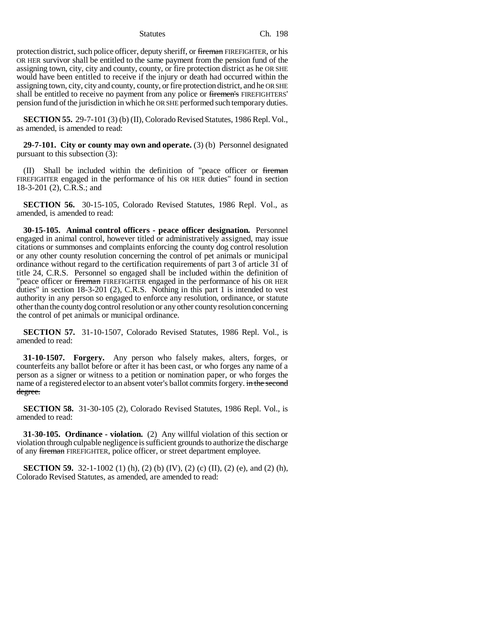protection district, such police officer, deputy sheriff, or fireman FIREFIGHTER, or his OR HER survivor shall be entitled to the same payment from the pension fund of the assigning town, city, city and county, county, or fire protection district as he OR SHE would have been entitled to receive if the injury or death had occurred within the assigning town, city, city and county, county, or fire protection district, and he OR SHE shall be entitled to receive no payment from any police or firemen's FIREFIGHTERS' pension fund of the jurisdiction in which he OR SHE performed such temporary duties.

**SECTION 55.** 29-7-101 (3) (b) (II), Colorado Revised Statutes, 1986 Repl. Vol., as amended, is amended to read:

**29-7-101. City or county may own and operate.** (3) (b) Personnel designated pursuant to this subsection (3):

(II) Shall be included within the definition of "peace officer or fireman FIREFIGHTER engaged in the performance of his OR HER duties" found in section 18-3-201 (2), C.R.S.; and

**SECTION 56.** 30-15-105, Colorado Revised Statutes, 1986 Repl. Vol., as amended, is amended to read:

**30-15-105. Animal control officers - peace officer designation.** Personnel engaged in animal control, however titled or administratively assigned, may issue citations or summonses and complaints enforcing the county dog control resolution or any other county resolution concerning the control of pet animals or municipal ordinance without regard to the certification requirements of part 3 of article 31 of title 24, C.R.S. Personnel so engaged shall be included within the definition of "peace officer or fireman FIREFIGHTER engaged in the performance of his OR HER duties" in section 18-3-201 (2), C.R.S. Nothing in this part 1 is intended to vest authority in any person so engaged to enforce any resolution, ordinance, or statute other than the county dog control resolution or any other county resolution concerning the control of pet animals or municipal ordinance.

**SECTION 57.** 31-10-1507, Colorado Revised Statutes, 1986 Repl. Vol., is amended to read:

**31-10-1507. Forgery.** Any person who falsely makes, alters, forges, or counterfeits any ballot before or after it has been cast, or who forges any name of a person as a signer or witness to a petition or nomination paper, or who forges the name of a registered elector to an absent voter's ballot commits forgery. in the second degree.

**SECTION 58.** 31-30-105 (2), Colorado Revised Statutes, 1986 Repl. Vol., is amended to read:

**31-30-105. Ordinance - violation.** (2) Any willful violation of this section or violation through culpable negligence is sufficient grounds to authorize the discharge of any fireman FIREFIGHTER, police officer, or street department employee.

**SECTION 59.** 32-1-1002 (1) (h), (2) (b) (IV), (2) (c) (II), (2) (e), and (2) (h), Colorado Revised Statutes, as amended, are amended to read: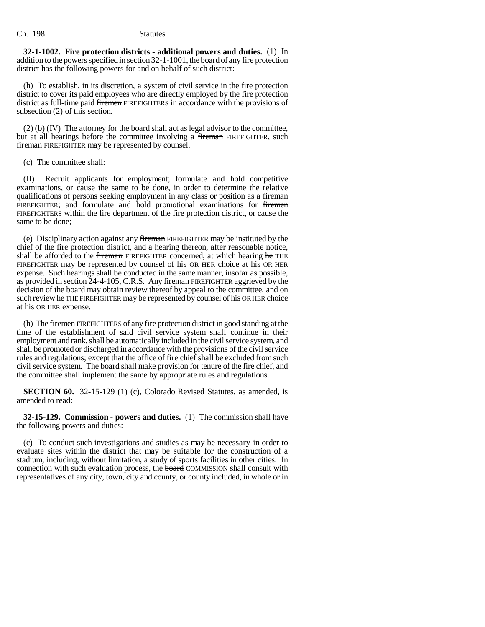**32-1-1002. Fire protection districts - additional powers and duties.** (1) In addition to the powers specified in section 32-1-1001, the board of any fire protection district has the following powers for and on behalf of such district:

(h) To establish, in its discretion, a system of civil service in the fire protection district to cover its paid employees who are directly employed by the fire protection district as full-time paid firemen FIREFIGHTERS in accordance with the provisions of subsection (2) of this section.

(2) (b) (IV) The attorney for the board shall act as legal advisor to the committee, but at all hearings before the committee involving a fireman FIREFIGHTER, such fireman FIREFIGHTER may be represented by counsel.

(c) The committee shall:

(II) Recruit applicants for employment; formulate and hold competitive examinations, or cause the same to be done, in order to determine the relative qualifications of persons seeking employment in any class or position as a fireman FIREFIGHTER; and formulate and hold promotional examinations for firemen FIREFIGHTERS within the fire department of the fire protection district, or cause the same to be done;

(e) Disciplinary action against any fireman FIREFIGHTER may be instituted by the chief of the fire protection district, and a hearing thereon, after reasonable notice, shall be afforded to the fireman FIREFIGHTER concerned, at which hearing he THE FIREFIGHTER may be represented by counsel of his OR HER choice at his OR HER expense. Such hearings shall be conducted in the same manner, insofar as possible, as provided in section 24-4-105, C.R.S. Any fireman FIREFIGHTER aggrieved by the decision of the board may obtain review thereof by appeal to the committee, and on such review he THE FIREFIGHTER may be represented by counsel of his OR HER choice at his OR HER expense.

(h) The firemen FIREFIGHTERS of any fire protection district in good standing at the time of the establishment of said civil service system shall continue in their employment and rank, shall be automatically included in the civil service system, and shall be promoted or discharged in accordance with the provisions of the civil service rules and regulations; except that the office of fire chief shall be excluded from such civil service system. The board shall make provision for tenure of the fire chief, and the committee shall implement the same by appropriate rules and regulations.

**SECTION 60.** 32-15-129 (1) (c), Colorado Revised Statutes, as amended, is amended to read:

**32-15-129. Commission - powers and duties.** (1) The commission shall have the following powers and duties:

(c) To conduct such investigations and studies as may be necessary in order to evaluate sites within the district that may be suitable for the construction of a stadium, including, without limitation, a study of sports facilities in other cities. In connection with such evaluation process, the **board** COMMISSION shall consult with representatives of any city, town, city and county, or county included, in whole or in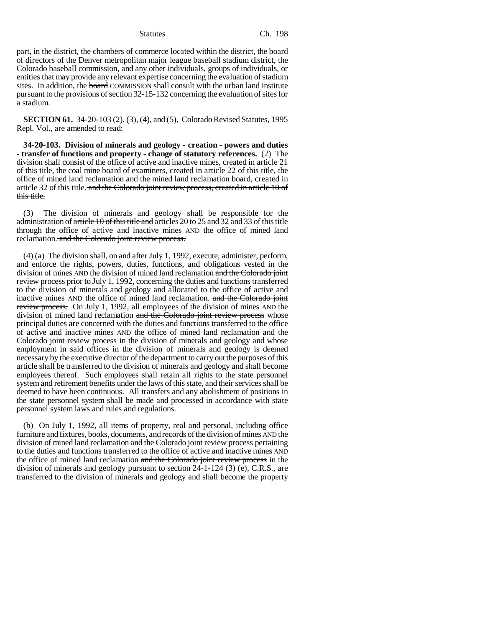part, in the district, the chambers of commerce located within the district, the board of directors of the Denver metropolitan major league baseball stadium district, the Colorado baseball commission, and any other individuals, groups of individuals, or entities that may provide any relevant expertise concerning the evaluation of stadium sites. In addition, the board COMMISSION shall consult with the urban land institute pursuant to the provisions of section 32-15-132 concerning the evaluation of sites for a stadium.

**SECTION 61.** 34-20-103 (2), (3), (4), and (5), Colorado Revised Statutes, 1995 Repl. Vol., are amended to read:

**34-20-103. Division of minerals and geology - creation - powers and duties - transfer of functions and property - change of statutory references.** (2) The division shall consist of the office of active and inactive mines, created in article 21 of this title, the coal mine board of examiners, created in article 22 of this title, the office of mined land reclamation and the mined land reclamation board, created in article 32 of this title. and the Colorado joint review process, created in article 10 of this title.

(3) The division of minerals and geology shall be responsible for the administration of article 10 of this title and articles 20 to 25 and 32 and 33 of this title through the office of active and inactive mines AND the office of mined land reclamation. and the Colorado joint review process.

(4) (a) The division shall, on and after July 1, 1992, execute, administer, perform, and enforce the rights, powers, duties, functions, and obligations vested in the division of mines AND the division of mined land reclamation and the Colorado joint review process prior to July 1, 1992, concerning the duties and functions transferred to the division of minerals and geology and allocated to the office of active and inactive mines AND the office of mined land reclamation. and the Colorado joint review process. On July 1, 1992, all employees of the division of mines AND the division of mined land reclamation and the Colorado joint review process whose principal duties are concerned with the duties and functions transferred to the office of active and inactive mines AND the office of mined land reclamation and the Colorado joint review process in the division of minerals and geology and whose employment in said offices in the division of minerals and geology is deemed necessary by the executive director of the department to carry out the purposes of this article shall be transferred to the division of minerals and geology and shall become employees thereof. Such employees shall retain all rights to the state personnel system and retirement benefits under the laws of this state, and their services shall be deemed to have been continuous. All transfers and any abolishment of positions in the state personnel system shall be made and processed in accordance with state personnel system laws and rules and regulations.

(b) On July 1, 1992, all items of property, real and personal, including office furniture and fixtures, books, documents, and records of the division of mines AND the division of mined land reclamation and the Colorado joint review process pertaining to the duties and functions transferred to the office of active and inactive mines AND the office of mined land reclamation and the Colorado joint review process in the division of minerals and geology pursuant to section 24-1-124 (3) (e), C.R.S., are transferred to the division of minerals and geology and shall become the property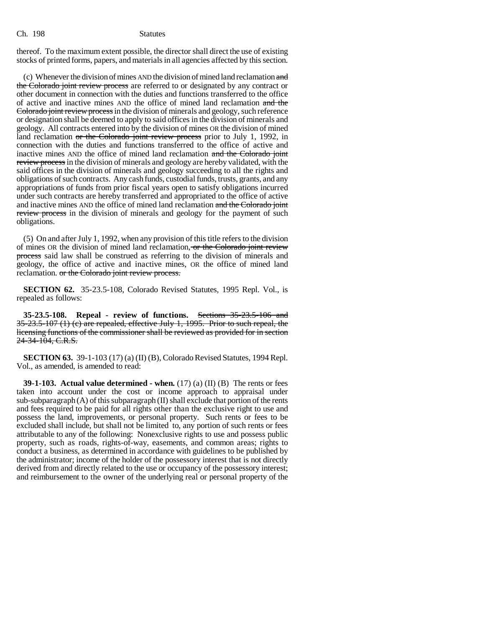thereof. To the maximum extent possible, the director shall direct the use of existing stocks of printed forms, papers, and materials in all agencies affected by this section.

(c) Whenever the division of mines AND the division of mined land reclamation  $\frac{d}{dt}$ the Colorado joint review process are referred to or designated by any contract or other document in connection with the duties and functions transferred to the office of active and inactive mines AND the office of mined land reclamation and the Colorado joint review process in the division of minerals and geology, such reference or designation shall be deemed to apply to said offices in the division of minerals and geology. All contracts entered into by the division of mines OR the division of mined land reclamation or the Colorado joint review process prior to July 1, 1992, in connection with the duties and functions transferred to the office of active and inactive mines AND the office of mined land reclamation and the Colorado joint review process in the division of minerals and geology are hereby validated, with the said offices in the division of minerals and geology succeeding to all the rights and obligations of such contracts. Any cash funds, custodial funds, trusts, grants, and any appropriations of funds from prior fiscal years open to satisfy obligations incurred under such contracts are hereby transferred and appropriated to the office of active and inactive mines AND the office of mined land reclamation and the Colorado joint review process in the division of minerals and geology for the payment of such obligations.

(5) On and after July 1, 1992, when any provision of this title refers to the division of mines OR the division of mined land reclamation, or the Colorado joint review process said law shall be construed as referring to the division of minerals and geology, the office of active and inactive mines, OR the office of mined land reclamation. or the Colorado joint review process.

**SECTION 62.** 35-23.5-108, Colorado Revised Statutes, 1995 Repl. Vol., is repealed as follows:

**35-23.5-108. Repeal - review of functions.** Sections 35-23.5-106 and 35-23.5-107 (1) (c) are repealed, effective July 1, 1995. Prior to such repeal, the licensing functions of the commissioner shall be reviewed as provided for in section 24-34-104, C.R.S.

**SECTION 63.** 39-1-103 (17) (a) (II) (B), Colorado Revised Statutes, 1994 Repl. Vol., as amended, is amended to read:

**39-1-103. Actual value determined - when.** (17) (a) (II) (B) The rents or fees taken into account under the cost or income approach to appraisal under sub-subparagraph (A) of this subparagraph (II) shall exclude that portion of the rents and fees required to be paid for all rights other than the exclusive right to use and possess the land, improvements, or personal property. Such rents or fees to be excluded shall include, but shall not be limited to, any portion of such rents or fees attributable to any of the following: Nonexclusive rights to use and possess public property, such as roads, rights-of-way, easements, and common areas; rights to conduct a business, as determined in accordance with guidelines to be published by the administrator; income of the holder of the possessory interest that is not directly derived from and directly related to the use or occupancy of the possessory interest; and reimbursement to the owner of the underlying real or personal property of the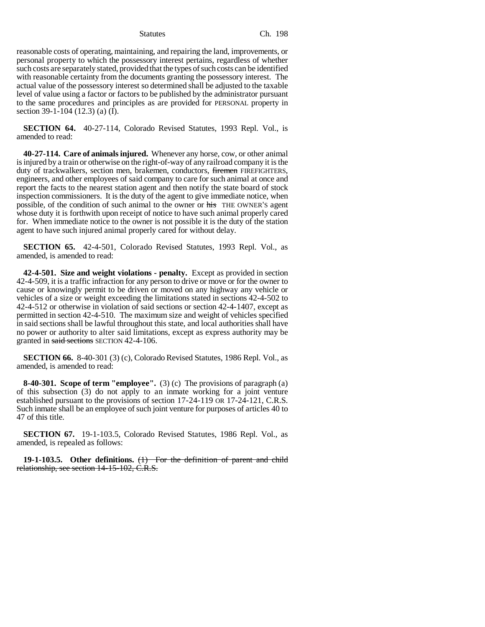reasonable costs of operating, maintaining, and repairing the land, improvements, or personal property to which the possessory interest pertains, regardless of whether such costs are separately stated, provided that the types of such costs can be identified with reasonable certainty from the documents granting the possessory interest. The actual value of the possessory interest so determined shall be adjusted to the taxable level of value using a factor or factors to be published by the administrator pursuant to the same procedures and principles as are provided for PERSONAL property in section 39-1-104 (12.3) (a) (I).

**SECTION 64.** 40-27-114, Colorado Revised Statutes, 1993 Repl. Vol., is amended to read:

**40-27-114. Care of animals injured.** Whenever any horse, cow, or other animal is injured by a train or otherwise on the right-of-way of any railroad company it is the duty of trackwalkers, section men, brakemen, conductors, firemen FIREFIGHTERS, engineers, and other employees of said company to care for such animal at once and report the facts to the nearest station agent and then notify the state board of stock inspection commissioners. It is the duty of the agent to give immediate notice, when possible, of the condition of such animal to the owner or his THE OWNER'S agent whose duty it is forthwith upon receipt of notice to have such animal properly cared for. When immediate notice to the owner is not possible it is the duty of the station agent to have such injured animal properly cared for without delay.

**SECTION 65.** 42-4-501, Colorado Revised Statutes, 1993 Repl. Vol., as amended, is amended to read:

**42-4-501. Size and weight violations - penalty.** Except as provided in section 42-4-509, it is a traffic infraction for any person to drive or move or for the owner to cause or knowingly permit to be driven or moved on any highway any vehicle or vehicles of a size or weight exceeding the limitations stated in sections 42-4-502 to 42-4-512 or otherwise in violation of said sections or section 42-4-1407, except as permitted in section 42-4-510. The maximum size and weight of vehicles specified in said sections shall be lawful throughout this state, and local authorities shall have no power or authority to alter said limitations, except as express authority may be granted in said sections SECTION 42-4-106.

**SECTION 66.** 8-40-301 (3) (c), Colorado Revised Statutes, 1986 Repl. Vol., as amended, is amended to read:

**8-40-301. Scope of term "employee".** (3) (c) The provisions of paragraph (a) of this subsection (3) do not apply to an inmate working for a joint venture established pursuant to the provisions of section 17-24-119 OR 17-24-121, C.R.S. Such inmate shall be an employee of such joint venture for purposes of articles 40 to 47 of this title.

**SECTION 67.** 19-1-103.5, Colorado Revised Statutes, 1986 Repl. Vol., as amended, is repealed as follows:

**19-1-103.5. Other definitions.** (1) For the definition of parent and child relationship, see section 14-15-102, C.R.S.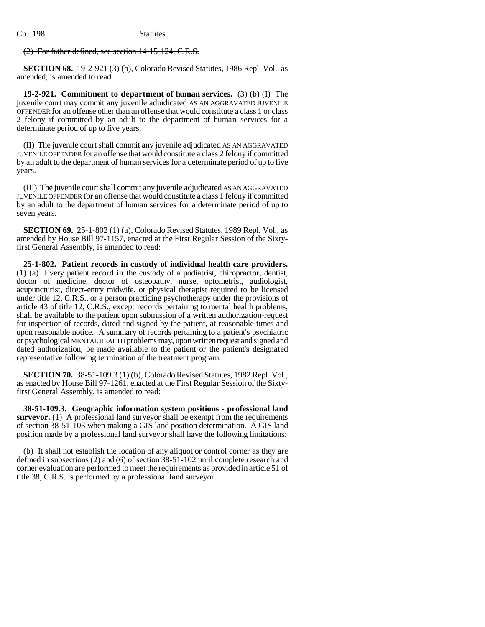# (2) For father defined, see section 14-15-124, C.R.S.

**SECTION 68.** 19-2-921 (3) (b), Colorado Revised Statutes, 1986 Repl. Vol., as amended, is amended to read:

**19-2-921. Commitment to department of human services.** (3) (b) (I) The juvenile court may commit any juvenile adjudicated AS AN AGGRAVATED JUVENILE OFFENDER for an offense other than an offense that would constitute a class 1 or class 2 felony if committed by an adult to the department of human services for a determinate period of up to five years.

(II) The juvenile court shall commit any juvenile adjudicated AS AN AGGRAVATED JUVENILE OFFENDER for an offense that would constitute a class 2 felony if committed by an adult to the department of human services for a determinate period of up to five years.

(III) The juvenile court shall commit any juvenile adjudicated AS AN AGGRAVATED JUVENILE OFFENDER for an offense that would constitute a class 1 felony if committed by an adult to the department of human services for a determinate period of up to seven years.

**SECTION 69.** 25-1-802 (1) (a), Colorado Revised Statutes, 1989 Repl. Vol., as amended by House Bill 97-1157, enacted at the First Regular Session of the Sixtyfirst General Assembly, is amended to read:

**25-1-802. Patient records in custody of individual health care providers.** (1) (a) Every patient record in the custody of a podiatrist, chiropractor, dentist, doctor of medicine, doctor of osteopathy, nurse, optometrist, audiologist, acupuncturist, direct-entry midwife, or physical therapist required to be licensed under title 12, C.R.S., or a person practicing psychotherapy under the provisions of article 43 of title 12, C.R.S., except records pertaining to mental health problems, shall be available to the patient upon submission of a written authorization-request for inspection of records, dated and signed by the patient, at reasonable times and upon reasonable notice. A summary of records pertaining to a patient's psychiatric or psychological MENTAL HEALTH problems may, upon written request and signed and dated authorization, be made available to the patient or the patient's designated representative following termination of the treatment program.

**SECTION 70.** 38-51-109.3 (1) (b), Colorado Revised Statutes, 1982 Repl. Vol., as enacted by House Bill 97-1261, enacted at the First Regular Session of the Sixtyfirst General Assembly, is amended to read:

**38-51-109.3. Geographic information system positions - professional land surveyor.** (1) A professional land surveyor shall be exempt from the requirements of section 38-51-103 when making a GIS land position determination. A GIS land position made by a professional land surveyor shall have the following limitations:

(b) It shall not establish the location of any aliquot or control corner as they are defined in subsections (2) and (6) of section 38-51-102 until complete research and corner evaluation are performed to meet the requirements as provided in article 51 of title 38, C.R.S. is performed by a professional land surveyor.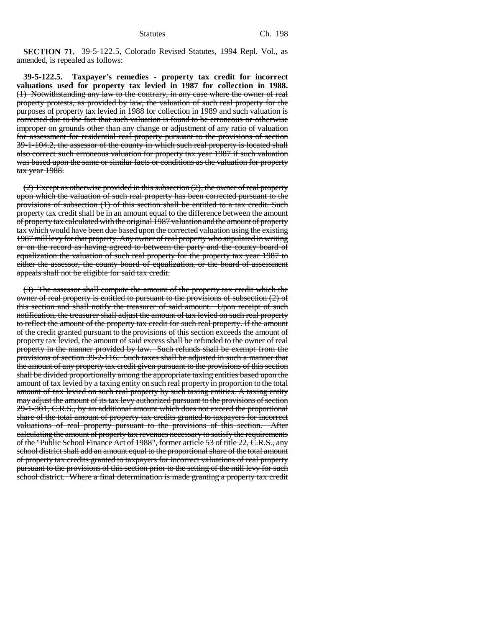**SECTION 71.** 39-5-122.5, Colorado Revised Statutes, 1994 Repl. Vol., as amended, is repealed as follows:

**39-5-122.5. Taxpayer's remedies - property tax credit for incorrect valuations used for property tax levied in 1987 for collection in 1988.** (1) Notwithstanding any law to the contrary, in any case where the owner of real property protests, as provided by law, the valuation of such real property for the purposes of property tax levied in 1988 for collection in 1989 and such valuation is corrected due to the fact that such valuation is found to be erroneous or otherwise improper on grounds other than any change or adjustment of any ratio of valuation for assessment for residential real property pursuant to the provisions of section 39-1-104.2, the assessor of the county in which such real property is located shall also correct such erroneous valuation for property tax year 1987 if such valuation was based upon the same or similar facts or conditions as the valuation for property tax year 1988.

 $(2)$  Except as otherwise provided in this subsection  $(2)$ , the owner of real property upon which the valuation of such real property has been corrected pursuant to the provisions of subsection (1) of this section shall be entitled to a tax credit. Such property tax credit shall be in an amount equal to the difference between the amount of property tax calculated with the original 1987 valuation and the amount of property tax which would have been due based upon the corrected valuation using the existing 1987 mill levy for that property. Any owner of real property who stipulated in writing or on the record as having agreed to between the party and the county board of equalization the valuation of such real property for the property tax year 1987 to either the assessor, the county board of equalization, or the board of assessment appeals shall not be eligible for said tax credit.

(3) The assessor shall compute the amount of the property tax credit which the owner of real property is entitled to pursuant to the provisions of subsection (2) of this section and shall notify the treasurer of said amount. Upon receipt of such notification, the treasurer shall adjust the amount of tax levied on such real property to reflect the amount of the property tax credit for such real property. If the amount of the credit granted pursuant to the provisions of this section exceeds the amount of property tax levied, the amount of said excess shall be refunded to the owner of real property in the manner provided by law. Such refunds shall be exempt from the provisions of section 39-2-116. Such taxes shall be adjusted in such a manner that the amount of any property tax credit given pursuant to the provisions of this section shall be divided proportionally among the appropriate taxing entities based upon the amount of tax levied by a taxing entity on such real property in proportion to the total amount of tax levied on such real property by such taxing entities. A taxing entity may adjust the amount of its tax levy authorized pursuant to the provisions of section 29-1-301, C.R.S., by an additional amount which does not exceed the proportional share of the total amount of property tax credits granted to taxpayers for incorrect valuations of real property pursuant to the provisions of this section. After calculating the amount of property tax revenues necessary to satisfy the requirements of the "Public School Finance Act of 1988", former article 53 of title 22, C.R.S., any school district shall add an amount equal to the proportional share of the total amount of property tax credits granted to taxpayers for incorrect valuations of real property pursuant to the provisions of this section prior to the setting of the mill levy for such school district. Where a final determination is made granting a property tax credit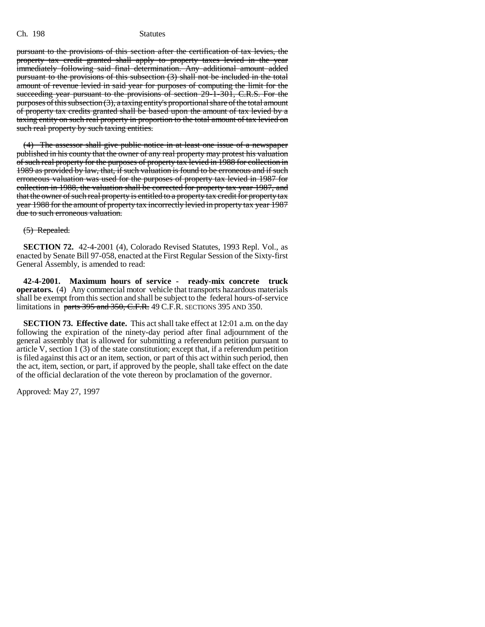pursuant to the provisions of this section after the certification of tax levies, the property tax credit granted shall apply to property taxes levied in the year immediately following said final determination. Any additional amount added pursuant to the provisions of this subsection (3) shall not be included in the total amount of revenue levied in said year for purposes of computing the limit for the succeeding year pursuant to the provisions of section 29-1-301, C.R.S. For the purposes of this subsection (3), a taxing entity's proportional share of the total amount of property tax credits granted shall be based upon the amount of tax levied by a taxing entity on such real property in proportion to the total amount of tax levied on such real property by such taxing entities.

(4) The assessor shall give public notice in at least one issue of a newspaper published in his county that the owner of any real property may protest his valuation of such real property for the purposes of property tax levied in 1988 for collection in 1989 as provided by law, that, if such valuation is found to be erroneous and if such erroneous valuation was used for the purposes of property tax levied in 1987 for collection in 1988, the valuation shall be corrected for property tax year 1987, and that the owner of such real property is entitled to a property tax credit for property tax year 1988 for the amount of property tax incorrectly levied in property tax year 1987 due to such erroneous valuation.

## (5) Repealed.

**SECTION 72.** 42-4-2001 (4), Colorado Revised Statutes, 1993 Repl. Vol., as enacted by Senate Bill 97-058, enacted at the First Regular Session of the Sixty-first General Assembly, is amended to read:

**42-4-2001. Maximum hours of service - ready-mix concrete truck operators.** (4) Any commercial motor vehicle that transports hazardous materials shall be exempt from this section and shall be subject to the federal hours-of-service limitations in parts 395 and 350, C.F.R. 49 C.F.R. SECTIONS 395 AND 350.

**SECTION 73. Effective date.** This act shall take effect at 12:01 a.m. on the day following the expiration of the ninety-day period after final adjournment of the general assembly that is allowed for submitting a referendum petition pursuant to article V, section  $1(3)$  of the state constitution; except that, if a referendum petition is filed against this act or an item, section, or part of this act within such period, then the act, item, section, or part, if approved by the people, shall take effect on the date of the official declaration of the vote thereon by proclamation of the governor.

Approved: May 27, 1997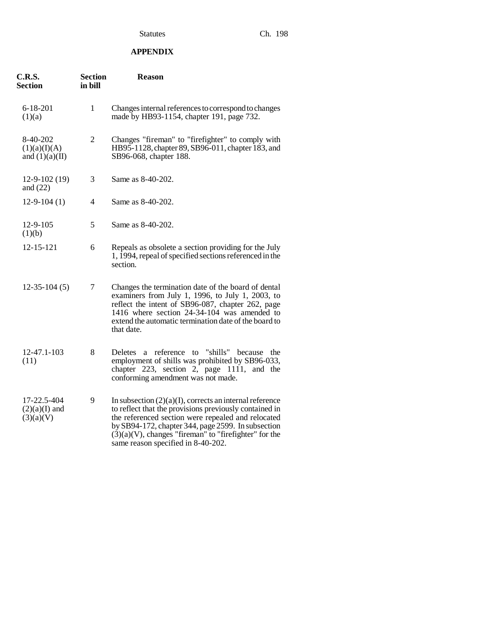# **APPENDIX**

| <b>C.R.S.</b><br><b>Section</b>              | <b>Section</b><br>in bill | <b>Reason</b>                                                                                                                                                                                                                                                                                                                      |
|----------------------------------------------|---------------------------|------------------------------------------------------------------------------------------------------------------------------------------------------------------------------------------------------------------------------------------------------------------------------------------------------------------------------------|
| $6 - 18 - 201$<br>(1)(a)                     | $\mathbf{1}$              | Changes internal references to correspond to changes<br>made by HB93-1154, chapter 191, page 732.                                                                                                                                                                                                                                  |
| 8-40-202<br>(1)(a)(I)(A)<br>and $(1)(a)(II)$ | $\mathfrak{2}$            | Changes "fireman" to "firefighter" to comply with<br>HB95-1128, chapter 89, SB96-011, chapter 183, and<br>SB96-068, chapter 188.                                                                                                                                                                                                   |
| $12 - 9 - 102(19)$<br>and $(22)$             | 3                         | Same as 8-40-202.                                                                                                                                                                                                                                                                                                                  |
| $12-9-104(1)$                                | 4                         | Same as 8-40-202.                                                                                                                                                                                                                                                                                                                  |
| 12-9-105<br>(1)(b)                           | 5                         | Same as 8-40-202.                                                                                                                                                                                                                                                                                                                  |
| 12-15-121                                    | 6                         | Repeals as obsolete a section providing for the July<br>1, 1994, repeal of specified sections referenced in the<br>section.                                                                                                                                                                                                        |
| $12-35-104(5)$                               | 7                         | Changes the termination date of the board of dental<br>examiners from July 1, 1996, to July 1, 2003, to<br>reflect the intent of SB96-087, chapter 262, page<br>1416 where section 24-34-104 was amended to<br>extend the automatic termination date of the board to<br>that date.                                                 |
| 12-47.1-103<br>(11)                          | 8                         | Deletes a reference<br>to "shills" because<br>the<br>employment of shills was prohibited by SB96-033,<br>chapter 223, section 2, page 1111,<br>and the<br>conforming amendment was not made.                                                                                                                                       |
| 17-22.5-404<br>$(2)(a)(I)$ and<br>(3)(a)(V)  | 9                         | In subsection $(2)(a)(I)$ , corrects an internal reference<br>to reflect that the provisions previously contained in<br>the referenced section were repealed and relocated<br>by SB94-172, chapter 344, page 2599. In subsection<br>$(3)(a)(V)$ , changes "fireman" to "firefighter" for the<br>same reason specified in 8-40-202. |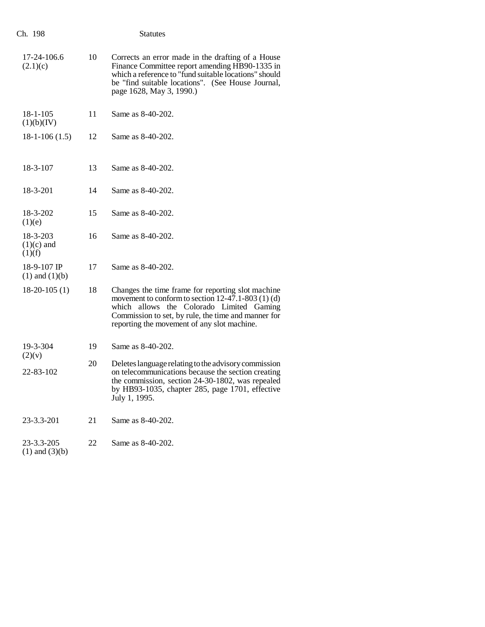| Ch. 198                            |    | <b>Statutes</b>                                                                                                                                                                                                                                             |
|------------------------------------|----|-------------------------------------------------------------------------------------------------------------------------------------------------------------------------------------------------------------------------------------------------------------|
| 17-24-106.6<br>(2.1)(c)            | 10 | Corrects an error made in the drafting of a House<br>Finance Committee report amending HB90-1335 in<br>which a reference to "fund suitable locations" should<br>be "find suitable locations". (See House Journal,<br>page 1628, May 3, 1990.)               |
| $18 - 1 - 105$<br>(1)(b)(IV)       | 11 | Same as 8-40-202.                                                                                                                                                                                                                                           |
| $18-1-106(1.5)$                    | 12 | Same as 8-40-202.                                                                                                                                                                                                                                           |
| 18-3-107                           | 13 | Same as 8-40-202.                                                                                                                                                                                                                                           |
| 18-3-201                           | 14 | Same as 8-40-202.                                                                                                                                                                                                                                           |
| 18-3-202<br>(1)(e)                 | 15 | Same as 8-40-202.                                                                                                                                                                                                                                           |
| 18-3-203<br>$(1)(c)$ and<br>(1)(f) | 16 | Same as 8-40-202.                                                                                                                                                                                                                                           |
| 18-9-107 IP<br>$(1)$ and $(1)(b)$  | 17 | Same as 8-40-202.                                                                                                                                                                                                                                           |
| $18-20-105(1)$                     | 18 | Changes the time frame for reporting slot machine<br>movement to conform to section $12-47.1-803$ (1) (d)<br>which allows the Colorado Limited Gaming<br>Commission to set, by rule, the time and manner for<br>reporting the movement of any slot machine. |
| 19-3-304<br>(2)(v)                 | 19 | Same as 8-40-202.                                                                                                                                                                                                                                           |
| 22-83-102                          | 20 | Deletes language relating to the advisory commission<br>on telecommunications because the section creating<br>the commission, section 24-30-1802, was repealed<br>by HB93-1035, chapter 285, page 1701, effective<br>July 1, 1995.                          |
| 23-3.3-201                         | 21 | Same as 8-40-202.                                                                                                                                                                                                                                           |
| 23-3.3-205<br>$(1)$ and $(3)(b)$   | 22 | Same as 8-40-202.                                                                                                                                                                                                                                           |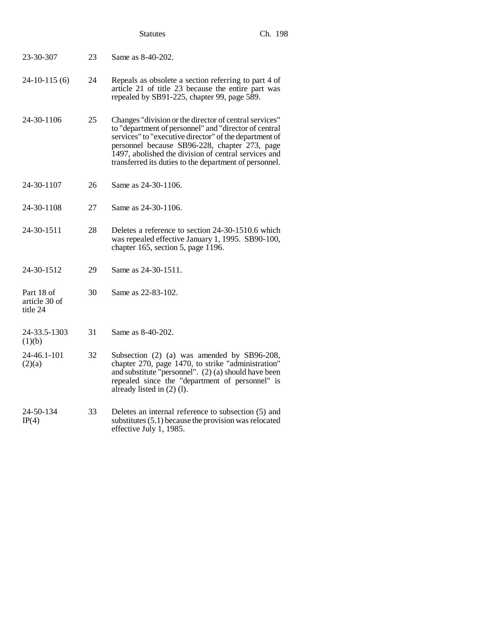|                                         |    | <b>Statutes</b>                                                                                                                                                                                                                                                                                                                              | Ch. 198 |
|-----------------------------------------|----|----------------------------------------------------------------------------------------------------------------------------------------------------------------------------------------------------------------------------------------------------------------------------------------------------------------------------------------------|---------|
| 23-30-307                               | 23 | Same as 8-40-202.                                                                                                                                                                                                                                                                                                                            |         |
| $24-10-115(6)$                          | 24 | Repeals as obsolete a section referring to part 4 of<br>article 21 of title 23 because the entire part was<br>repealed by SB91-225, chapter 99, page 589.                                                                                                                                                                                    |         |
| 24-30-1106                              | 25 | Changes "division or the director of central services"<br>to "department of personnel" and "director of central<br>services" to "executive director" of the department of<br>personnel because SB96-228, chapter 273, page<br>1497, abolished the division of central services and<br>transferred its duties to the department of personnel. |         |
| 24-30-1107                              | 26 | Same as 24-30-1106.                                                                                                                                                                                                                                                                                                                          |         |
| 24-30-1108                              | 27 | Same as 24-30-1106.                                                                                                                                                                                                                                                                                                                          |         |
| 24-30-1511                              | 28 | Deletes a reference to section 24-30-1510.6 which<br>was repealed effective January 1, 1995. SB90-100,<br>chapter 165, section 5, page 1196.                                                                                                                                                                                                 |         |
| 24-30-1512                              | 29 | Same as 24-30-1511.                                                                                                                                                                                                                                                                                                                          |         |
| Part 18 of<br>article 30 of<br>title 24 | 30 | Same as 22-83-102.                                                                                                                                                                                                                                                                                                                           |         |
| 24-33.5-1303<br>(1)(b)                  | 31 | Same as 8-40-202.                                                                                                                                                                                                                                                                                                                            |         |
| 24-46.1-101<br>(2)(a)                   | 32 | Subsection (2) (a) was amended by SB96-208,<br>chapter 270, page 1470, to strike "administration"<br>and substitute "personnel". $(2)$ (a) should have been<br>repealed since the "department of personnel" is<br>already listed in (2) (1).                                                                                                 |         |
| 24-50-134<br>IP(4)                      | 33 | Deletes an internal reference to subsection (5) and<br>substitutes $(5.1)$ because the provision was relocated<br>effective July 1, 1985.                                                                                                                                                                                                    |         |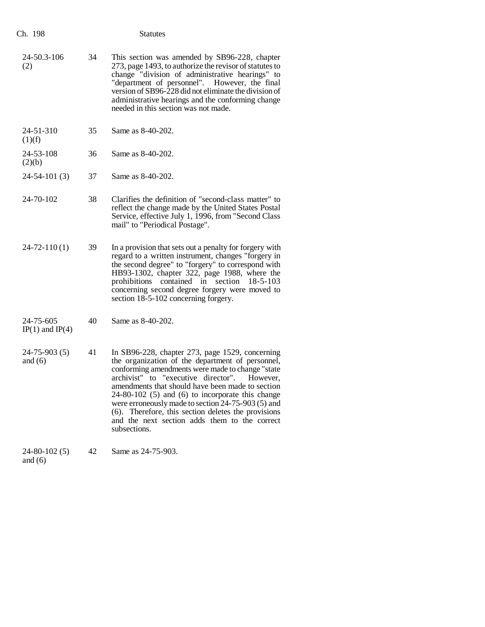| Ch. 198                          |    | <b>Statutes</b>                                                                                                                                                                                                                                                                                                                                                                                                                                                                                    |
|----------------------------------|----|----------------------------------------------------------------------------------------------------------------------------------------------------------------------------------------------------------------------------------------------------------------------------------------------------------------------------------------------------------------------------------------------------------------------------------------------------------------------------------------------------|
| 24-50.3-106<br>(2)               | 34 | This section was amended by SB96-228, chapter<br>273, page 1493, to authorize the revisor of statutes to<br>change "division of administrative hearings" to<br>"department of personnel". However, the final<br>version of SB96-228 did not eliminate the division of<br>administrative hearings and the conforming change<br>needed in this section was not made.                                                                                                                                 |
| 24-51-310<br>(1)(f)              | 35 | Same as 8-40-202.                                                                                                                                                                                                                                                                                                                                                                                                                                                                                  |
| 24-53-108<br>(2)(b)              | 36 | Same as 8-40-202.                                                                                                                                                                                                                                                                                                                                                                                                                                                                                  |
| $24-54-101(3)$                   | 37 | Same as 8-40-202.                                                                                                                                                                                                                                                                                                                                                                                                                                                                                  |
| 24-70-102                        | 38 | Clarifies the definition of "second-class matter" to<br>reflect the change made by the United States Postal<br>Service, effective July 1, 1996, from "Second Class<br>mail" to "Periodical Postage".                                                                                                                                                                                                                                                                                               |
| $24 - 72 - 110(1)$               | 39 | In a provision that sets out a penalty for forgery with<br>regard to a written instrument, changes "forgery in<br>the second degree" to "forgery" to correspond with<br>HB93-1302, chapter 322, page 1988, where the<br>prohibitions contained in section<br>18-5-103<br>concerning second degree forgery were moved to<br>section 18-5-102 concerning forgery.                                                                                                                                    |
| 24-75-605<br>$IP(1)$ and $IP(4)$ | 40 | Same as 8-40-202.                                                                                                                                                                                                                                                                                                                                                                                                                                                                                  |
| $24 - 75 - 903(5)$<br>and $(6)$  | 41 | In SB96-228, chapter 273, page 1529, concerning<br>the organization of the department of personnel,<br>conforming amendments were made to change "state<br>archivist" to "executive director".<br>However,<br>amendments that should have been made to section<br>$24-80-102$ (5) and (6) to incorporate this change<br>were erroneously made to section 24-75-903 (5) and<br>(6). Therefore, this section deletes the provisions<br>and the next section adds them to the correct<br>subsections. |
| $24 - 80 - 102(5)$               | 42 | Same as 24-75-903.                                                                                                                                                                                                                                                                                                                                                                                                                                                                                 |

and (6)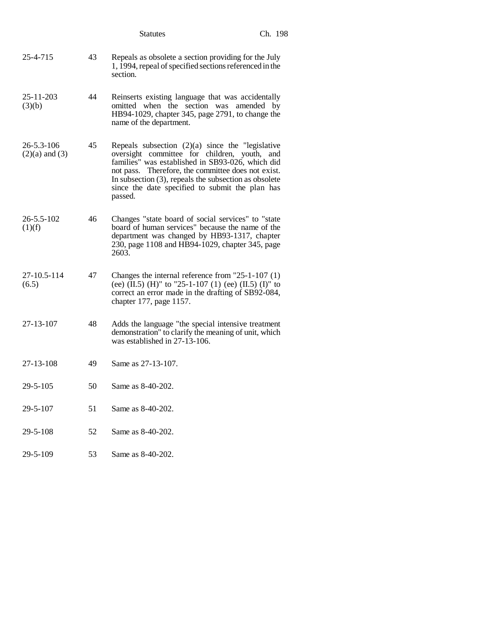|                                  |    | <b>Statutes</b>                                                                                                                                                                                                                                                                                                                        | Ch. 198 |
|----------------------------------|----|----------------------------------------------------------------------------------------------------------------------------------------------------------------------------------------------------------------------------------------------------------------------------------------------------------------------------------------|---------|
| 25-4-715                         | 43 | Repeals as obsolete a section providing for the July<br>1, 1994, repeal of specified sections referenced in the<br>section.                                                                                                                                                                                                            |         |
| 25-11-203<br>(3)(b)              | 44 | Reinserts existing language that was accidentally<br>omitted when the section was amended by<br>HB94-1029, chapter 345, page 2791, to change the<br>name of the department.                                                                                                                                                            |         |
| 26-5.3-106<br>$(2)(a)$ and $(3)$ | 45 | Repeals subsection $(2)(a)$ since the "legislative<br>oversight committee for children, youth, and<br>families" was established in SB93-026, which did<br>not pass. Therefore, the committee does not exist.<br>In subsection $(3)$ , repeals the subsection as obsolete<br>since the date specified to submit the plan has<br>passed. |         |
| 26-5.5-102<br>(1)(f)             | 46 | Changes "state board of social services" to "state<br>board of human services" because the name of the<br>department was changed by HB93-1317, chapter<br>230, page 1108 and HB94-1029, chapter 345, page<br>2603.                                                                                                                     |         |
| 27-10.5-114<br>(6.5)             | 47 | Changes the internal reference from "25-1-107 (1)<br>(ee) $(\text{II.5})$ (H)" to "25-1-107 (1) (ee) (II.5) (I)" to<br>correct an error made in the drafting of SB92-084,<br>chapter 177, page 1157.                                                                                                                                   |         |
| 27-13-107                        | 48 | Adds the language "the special intensive treatment<br>demonstration" to clarify the meaning of unit, which<br>was established in $27-13-106$ .                                                                                                                                                                                         |         |
| 27-13-108                        | 49 | Same as 27-13-107.                                                                                                                                                                                                                                                                                                                     |         |
| 29-5-105                         | 50 | Same as 8-40-202.                                                                                                                                                                                                                                                                                                                      |         |
| 29-5-107                         | 51 | Same as 8-40-202.                                                                                                                                                                                                                                                                                                                      |         |
| 29-5-108                         | 52 | Same as 8-40-202.                                                                                                                                                                                                                                                                                                                      |         |
| 29-5-109                         | 53 | Same as 8-40-202.                                                                                                                                                                                                                                                                                                                      |         |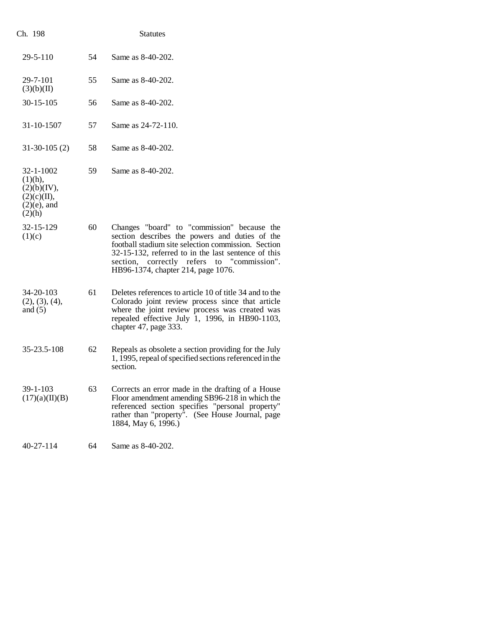| Ch. 198                                                                                 |    | <b>Statutes</b>                                                                                                                                                                                                                                                                                 |
|-----------------------------------------------------------------------------------------|----|-------------------------------------------------------------------------------------------------------------------------------------------------------------------------------------------------------------------------------------------------------------------------------------------------|
| $29 - 5 - 110$                                                                          | 54 | Same as 8-40-202.                                                                                                                                                                                                                                                                               |
| $29 - 7 - 101$<br>(3)(b)(II)                                                            | 55 | Same as 8-40-202.                                                                                                                                                                                                                                                                               |
| $30 - 15 - 105$                                                                         | 56 | Same as 8-40-202.                                                                                                                                                                                                                                                                               |
| 31-10-1507                                                                              | 57 | Same as 24-72-110.                                                                                                                                                                                                                                                                              |
| $31-30-105(2)$                                                                          | 58 | Same as 8-40-202.                                                                                                                                                                                                                                                                               |
| $32 - 1 - 1002$<br>$(1)(h)$ ,<br>(2)(b)(IV),<br>(2)(c)(II),<br>$(2)(e)$ , and<br>(2)(h) | 59 | Same as 8-40-202.                                                                                                                                                                                                                                                                               |
| 32-15-129<br>(1)(c)                                                                     | 60 | Changes "board" to "commission" because the<br>section describes the powers and duties of the<br>football stadium site selection commission. Section<br>32-15-132, referred to in the last sentence of this<br>section, correctly refers to "commission".<br>HB96-1374, chapter 214, page 1076. |
| 34-20-103<br>(2), (3), (4),<br>and $(5)$                                                | 61 | Deletes references to article 10 of title 34 and to the<br>Colorado joint review process since that article<br>where the joint review process was created was<br>repealed effective July 1, 1996, in HB90-1103,<br>chapter 47, page 333.                                                        |
| 35-23.5-108                                                                             | 62 | Repeals as obsolete a section providing for the July<br>1, 1995, repeal of specified sections referenced in the<br>section.                                                                                                                                                                     |
| 39-1-103<br>(17)(a)(II)(B)                                                              | 63 | Corrects an error made in the drafting of a House<br>Floor amendment amending SB96-218 in which the<br>referenced section specifies "personal property"<br>rather than "property". (See House Journal, page<br>1884, May 6, 1996.)                                                              |
| 40-27-114                                                                               | 64 | Same as 8-40-202.                                                                                                                                                                                                                                                                               |